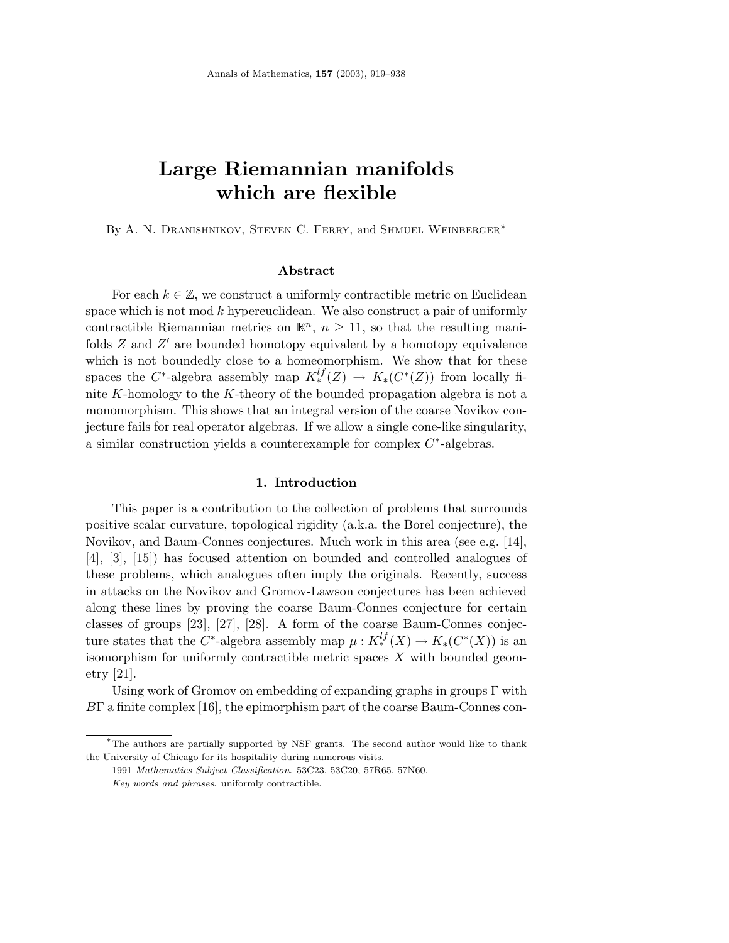# **Large Riemannian manifolds which are flexible**

By A. N. Dranishnikov, Steven C. Ferry, and Shmuel Weinberger\*

#### **Abstract**

For each  $k \in \mathbb{Z}$ , we construct a uniformly contractible metric on Euclidean space which is not mod *k* hypereuclidean. We also construct a pair of uniformly contractible Riemannian metrics on  $\mathbb{R}^n$ ,  $n \geq 11$ , so that the resulting manifolds *Z* and *Z'* are bounded homotopy equivalent by a homotopy equivalence which is not boundedly close to a homeomorphism. We show that for these spaces the  $C^*$ -algebra assembly map  $K_*^{lf}(Z) \to K_*(C^*(Z))$  from locally finite *K*-homology to the *K*-theory of the bounded propagation algebra is not a monomorphism. This shows that an integral version of the coarse Novikov conjecture fails for real operator algebras. If we allow a single cone-like singularity, a similar construction yields a counterexample for complex *C*∗-algebras.

#### **1. Introduction**

This paper is a contribution to the collection of problems that surrounds positive scalar curvature, topological rigidity (a.k.a. the Borel conjecture), the Novikov, and Baum-Connes conjectures. Much work in this area (see e.g. [14], [4], [3], [15]) has focused attention on bounded and controlled analogues of these problems, which analogues often imply the originals. Recently, success in attacks on the Novikov and Gromov-Lawson conjectures has been achieved along these lines by proving the coarse Baum-Connes conjecture for certain classes of groups [23], [27], [28]. A form of the coarse Baum-Connes conjecture states that the  $C^*$ -algebra assembly map  $\mu: K_*^{lf}(X) \to K_*(C^*(X))$  is an isomorphism for uniformly contractible metric spaces *X* with bounded geometry [21].

Using work of Gromov on embedding of expanding graphs in groups  $\Gamma$  with *B*Γ a finite complex [16], the epimorphism part of the coarse Baum-Connes con-

<sup>∗</sup>The authors are partially supported by NSF grants. The second author would like to thank the University of Chicago for its hospitality during numerous visits.

<sup>1991</sup> *Mathematics Subject Classification*. 53C23, 53C20, 57R65, 57N60.

*Key words and phrases*. uniformly contractible.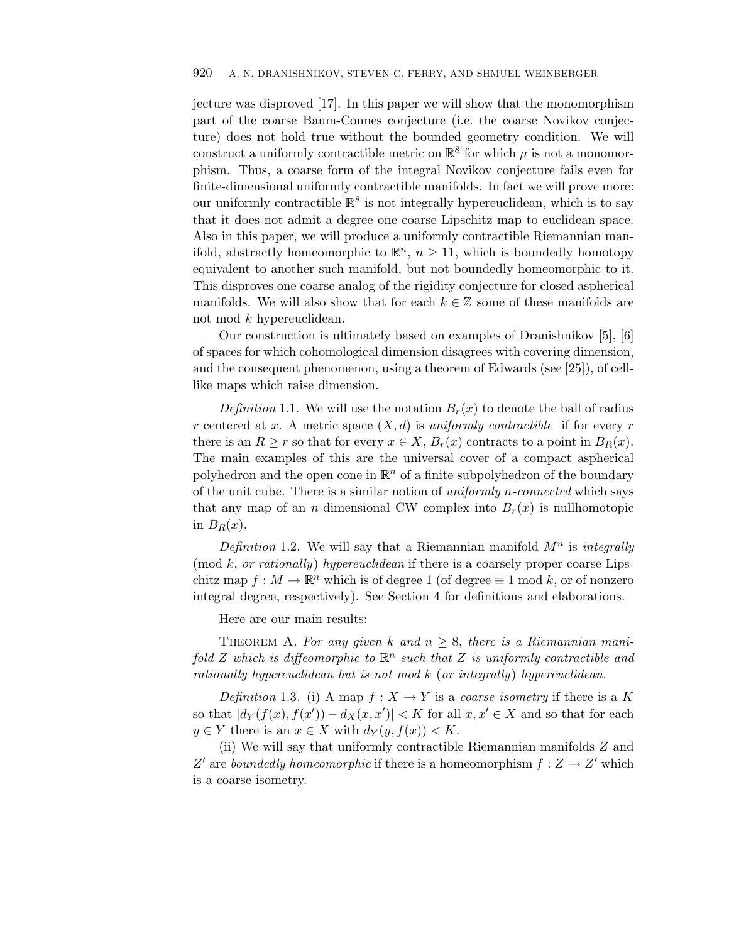jecture was disproved [17]. In this paper we will show that the monomorphism part of the coarse Baum-Connes conjecture (i.e. the coarse Novikov conjecture) does not hold true without the bounded geometry condition. We will construct a uniformly contractible metric on  $\mathbb{R}^8$  for which  $\mu$  is not a monomorphism. Thus, a coarse form of the integral Novikov conjecture fails even for finite-dimensional uniformly contractible manifolds. In fact we will prove more: our uniformly contractible  $\mathbb{R}^8$  is not integrally hypereuclidean, which is to say that it does not admit a degree one coarse Lipschitz map to euclidean space. Also in this paper, we will produce a uniformly contractible Riemannian manifold, abstractly homeomorphic to  $\mathbb{R}^n$ ,  $n \geq 11$ , which is boundedly homotopy equivalent to another such manifold, but not boundedly homeomorphic to it. This disproves one coarse analog of the rigidity conjecture for closed aspherical manifolds. We will also show that for each  $k \in \mathbb{Z}$  some of these manifolds are not mod *k* hypereuclidean.

Our construction is ultimately based on examples of Dranishnikov [5], [6] of spaces for which cohomological dimension disagrees with covering dimension, and the consequent phenomenon, using a theorem of Edwards (see [25]), of celllike maps which raise dimension.

*Definition* 1.1. We will use the notation  $B_r(x)$  to denote the ball of radius *r* centered at *x*. A metric space  $(X, d)$  is uniformly contractible if for every *r* there is an  $R \ge r$  so that for every  $x \in X$ ,  $B_r(x)$  contracts to a point in  $B_R(x)$ . The main examples of this are the universal cover of a compact aspherical polyhedron and the open cone in  $\mathbb{R}^n$  of a finite subpolyhedron of the boundary of the unit cube. There is a similar notion of uniformly *n*-connected which says that any map of an *n*-dimensional CW complex into  $B_r(x)$  is nullhomotopic in  $B_R(x)$ .

Definition 1.2. We will say that a Riemannian manifold  $M<sup>n</sup>$  is integrally  $\pmod{k}$ , *or rationally* hypereuclidean if there is a coarsely proper coarse Lipschitz map  $f : M \to \mathbb{R}^n$  which is of degree 1 (of degree  $\equiv 1 \mod k$ , or of nonzero integral degree, respectively). See Section 4 for definitions and elaborations.

Here are our main results:

THEOREM A. For any given *k* and  $n \geq 8$ , there is a Riemannian manifold *Z* which is diffeomorphic to  $\mathbb{R}^n$  such that *Z* is uniformly contractible and rationally hypereuclidean but is not mod *k* (or integrally) hypereuclidean.

Definition 1.3. (i) A map  $f: X \to Y$  is a coarse isometry if there is a K so that  $|d_Y(f(x), f(x')) - d_X(x, x')| < K$  for all  $x, x' \in X$  and so that for each  $y \in Y$  there is an  $x \in X$  with  $d_Y(y, f(x)) < K$ .

(ii) We will say that uniformly contractible Riemannian manifolds *Z* and *Z*<sup> $\prime$ </sup> are boundedly homeomorphic if there is a homeomorphism  $f : Z \rightarrow Z'$  which is a coarse isometry.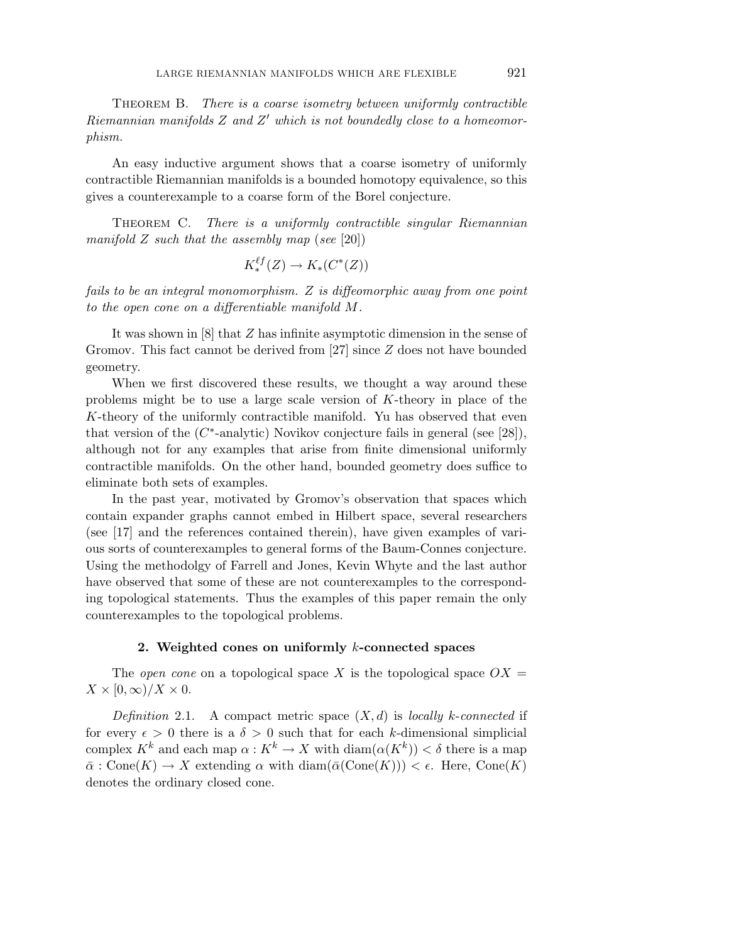Theorem B. There is a coarse isometry between uniformly contractible Riemannian manifolds Z and Z' which is not boundedly close to a homeomorphism.

An easy inductive argument shows that a coarse isometry of uniformly contractible Riemannian manifolds is a bounded homotopy equivalence, so this gives a counterexample to a coarse form of the Borel conjecture.

THEOREM C. There is a uniformly contractible singular Riemannian manifold  $Z$  such that the assembly map (see [20])

$$
K^{\ell f}_*(Z) \to K_*(C^*(Z))
$$

fails to be an integral monomorphism. *Z* is diffeomorphic away from one point to the open cone on a differentiable manifold *M*.

It was shown in [8] that *Z* has infinite asymptotic dimension in the sense of Gromov. This fact cannot be derived from [27] since *Z* does not have bounded geometry.

When we first discovered these results, we thought a way around these problems might be to use a large scale version of *K*-theory in place of the *K*-theory of the uniformly contractible manifold. Yu has observed that even that version of the (*C*∗-analytic) Novikov conjecture fails in general (see [28]), although not for any examples that arise from finite dimensional uniformly contractible manifolds. On the other hand, bounded geometry does suffice to eliminate both sets of examples.

In the past year, motivated by Gromov's observation that spaces which contain expander graphs cannot embed in Hilbert space, several researchers (see [17] and the references contained therein), have given examples of various sorts of counterexamples to general forms of the Baum-Connes conjecture. Using the methodolgy of Farrell and Jones, Kevin Whyte and the last author have observed that some of these are not counterexamples to the corresponding topological statements. Thus the examples of this paper remain the only counterexamples to the topological problems.

#### **2. Weighted cones on uniformly** *k***-connected spaces**

The *open cone* on a topological space  $X$  is the topological space  $OX =$  $X \times [0,\infty)/X \times 0$ .

Definition 2.1. A compact metric space  $(X, d)$  is locally *k*-connected if for every  $\epsilon > 0$  there is a  $\delta > 0$  such that for each *k*-dimensional simplicial complex  $K^k$  and each map  $\alpha: K^k \to X$  with  $\text{diam}(\alpha(K^k)) < \delta$  there is a map  $\bar{\alpha}$  : Cone(*K*)  $\rightarrow$  *X* extending  $\alpha$  with diam( $\bar{\alpha}$ (Cone(*K*)))  $\lt$   $\epsilon$ . Here, Cone(*K*) denotes the ordinary closed cone.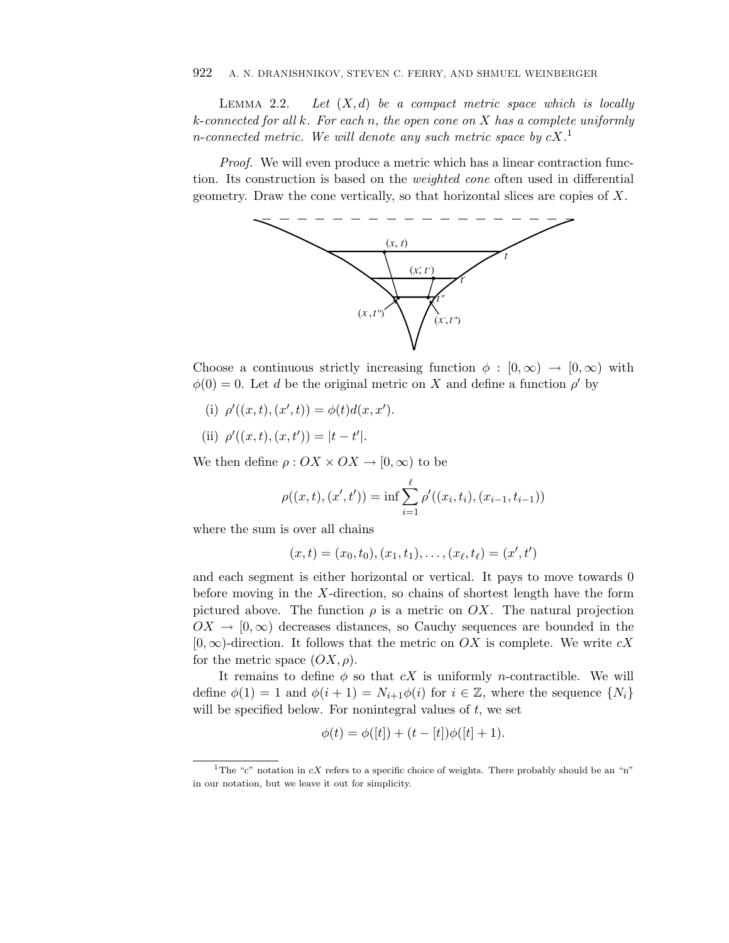LEMMA 2.2. Let  $(X, d)$  be a compact metric space which is locally *k*-connected for all *k*. For each *n*, the open cone on *X* has a complete uniformly *n*-connected metric. We will denote any such metric space by *cX*. 1

Proof. We will even produce a metric which has a linear contraction function. Its construction is based on the weighted cone often used in differential geometry. Draw the cone vertically, so that horizontal slices are copies of *X*.



Choose a continuous strictly increasing function  $\phi : [0, \infty) \to [0, \infty)$  with  $\phi(0) = 0$ . Let *d* be the original metric on *X* and define a function  $\rho'$  by

- (i)  $\rho'((x,t),(x',t)) = \phi(t)d(x,x').$
- (ii)  $\rho'((x,t),(x,t')) = |t-t'|$ .

We then define  $\rho: OX \times OX \to [0, \infty)$  to be

$$
x, t') = |t - t'|.
$$
  

$$
\rho : OX \times OX \to [0, \infty) \text{ to be}
$$
  

$$
\rho((x, t), (x', t')) = \inf \sum_{i=1}^{\ell} \rho'((x_i, t_i), (x_{i-1}, t_{i-1}))
$$

where the sum is over all chains

$$
(x,t)=(x_0,t_0),(x_1,t_1),\ldots,(x_\ell,t_\ell)=(x',t')
$$

and each segment is either horizontal or vertical. It pays to move towards 0 before moving in the *X*-direction, so chains of shortest length have the form pictured above. The function  $\rho$  is a metric on  $OX$ . The natural projection  $OX \to [0,\infty)$  decreases distances, so Cauchy sequences are bounded in the [0*,*∞)-direction. It follows that the metric on *OX* is complete. We write *cX* for the metric space  $(OX, \rho)$ .

It remains to define  $\phi$  so that  $cX$  is uniformly *n*-contractible. We will define  $\phi(1) = 1$  and  $\phi(i+1) = N_{i+1}\phi(i)$  for  $i \in \mathbb{Z}$ , where the sequence  $\{N_i\}$ will be specified below. For nonintegral values of *t*, we set

$$
\phi(t) = \phi([t]) + (t - [t])\phi([t] + 1).
$$

<sup>&</sup>lt;sup>1</sup>The "c" notation in cX refers to a specific choice of weights. There probably should be an "n" in our notation, but we leave it out for simplicity.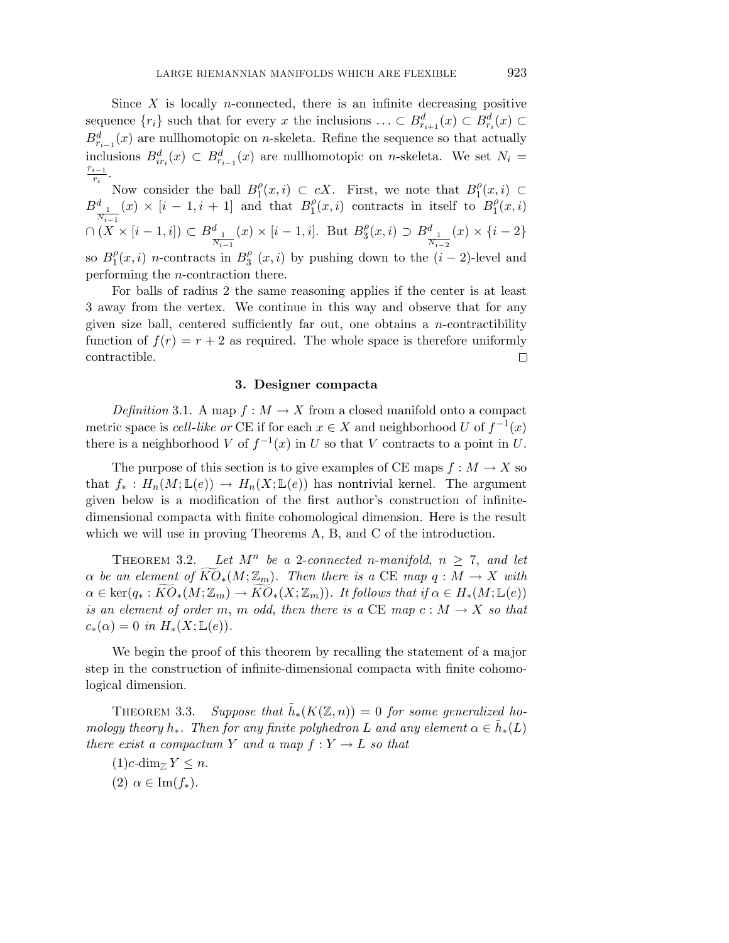Since  $X$  is locally *n*-connected, there is an infinite decreasing positive sequence  $\{r_i\}$  such that for every *x* the inclusions  $\dots \subset B^d_{r_{i+1}}(x) \subset B^d_{r_i}(x) \subset$  $B_{r_{i-1}}^d(x)$  are nullhomotopic on *n*-skeleta. Refine the sequence so that actually inclusions  $B_{ir_i}^d(x) \subset B_{r_{i-1}}^d(x)$  are nullhomotopic on *n*-skeleta. We set  $N_i = \frac{r_{i-1}}{2}$  $\frac{i-1}{r_i}$ .

Now consider the ball  $B_1^{\rho}(x, i) \subset cX$ . First, we note that  $B_1^{\rho}(x, i) \subset$  $B_{\_\!\_1}^d$ *Ni*−<sup>1</sup>  $(x) \times [i-1, i+1]$  and that  $B_1^{\rho}(x, i)$  contracts in itself to  $B_1^{\rho}(x, i)$  $∩(X \times [i-1,i]) ⊂ B^d_{-1}$ *Ni*−<sup>1</sup>  $f(x) \times [i - 1, i]$ . But  $B_3^{\rho}(x, i) \supset B_{\frac{1}{n}}^d$ *Ni*−<sup>2</sup>  $(x) \times \{i-2\}$ so  $B_1^{\rho}(x,i)$  *n*-contracts in  $B_3^{\rho}(x,i)$  by pushing down to the  $(i-2)$ -level and performing the *n*-contraction there.

For balls of radius 2 the same reasoning applies if the center is at least 3 away from the vertex. We continue in this way and observe that for any given size ball, centered sufficiently far out, one obtains a *n*-contractibility function of  $f(r) = r + 2$  as required. The whole space is therefore uniformly contractible.  $\Box$ 

## **3. Designer compacta**

Definition 3.1. A map  $f : M \to X$  from a closed manifold onto a compact metric space is *cell-like or* CE if for each  $x \in X$  and neighborhood *U* of  $f^{-1}(x)$ there is a neighborhood *V* of  $f^{-1}(x)$  in *U* so that *V* contracts to a point in *U*.

The purpose of this section is to give examples of CE maps  $f : M \to X$  so that  $f_* : H_n(M; \mathbb{L}(e)) \to H_n(X; \mathbb{L}(e))$  has nontrivial kernel. The argument given below is a modification of the first author's construction of infinitedimensional compacta with finite cohomological dimension. Here is the result which we will use in proving Theorems A, B, and C of the introduction.

THEOREM 3.2. Let  $M^n$  be a 2-connected *n*-manifold,  $n \geq 7$ , and let *α* be an element of  $KO_*(M;\mathbb{Z}_m)$ . Then there is a CE map  $q : M \to X$  with  $\alpha \in \text{ker}(q_* : KO_*(M;\mathbb{Z}_m) \to KO_*(X;\mathbb{Z}_m))$ . It follows that if  $\alpha \in H_*(M;\mathbb{L}(e))$ is an element of order *m*, *m* odd, then there is a CE map  $c : M \to X$  so that  $c_*(\alpha) = 0$  in  $H_*(X; \mathbb{L}(e)).$ 

We begin the proof of this theorem by recalling the statement of a major step in the construction of infinite-dimensional compacta with finite cohomological dimension.

THEOREM 3.3. Suppose that  $\tilde{h}_*(K(\mathbb{Z}, n)) = 0$  for some generalized homology theory  $h_*$ . Then for any finite polyhedron *L* and any element  $\alpha \in \tilde{h}_*(L)$ there exist a compactum *Y* and a map  $f: Y \to L$  so that

 $(1)c$ -dim<sub> $\mathbb{Z}$ </sub>  $Y \leq n$ .  $(2)$   $\alpha \in \text{Im}(f_*)$ .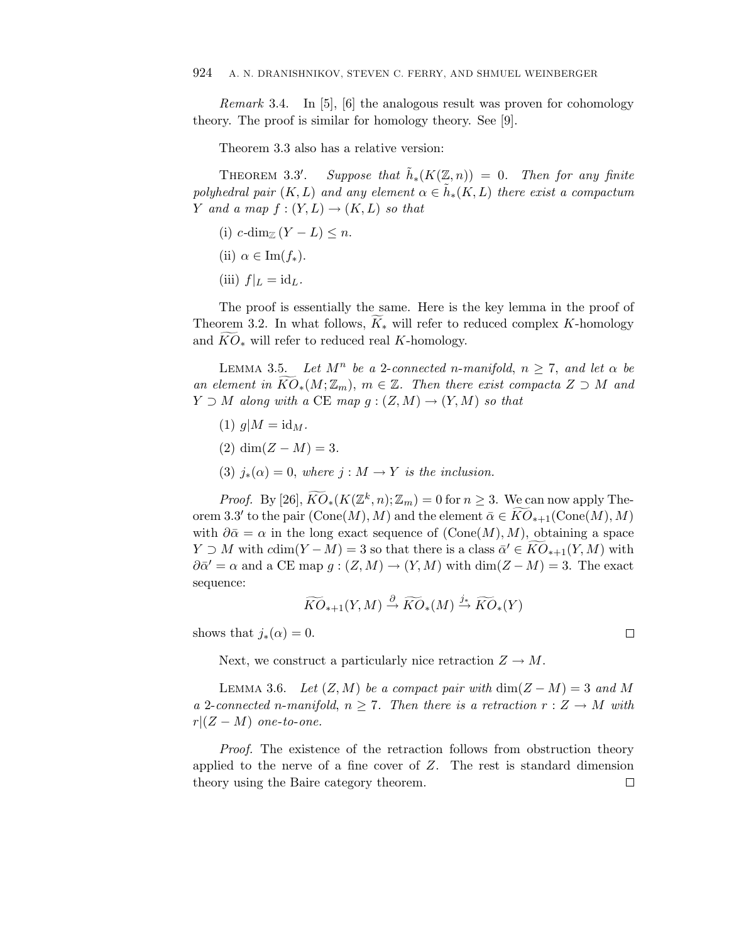Remark 3.4. In [5], [6] the analogous result was proven for cohomology theory. The proof is similar for homology theory. See [9].

Theorem 3.3 also has a relative version:

Theorem 3*.*3- Suppose that  $\tilde{h}_*(K(\mathbb{Z}, n)) = 0$ . Then for any finite polyhedral pair  $(K, L)$  and any element  $\alpha \in h_*(K, L)$  there exist a compactum *Y* and a map  $f:(Y,L) \rightarrow (K,L)$  so that

(i)  $c$ -dim<sub> $\mathbb{Z}(Y-L) \leq n$ .</sub>

(ii) 
$$
\alpha \in \text{Im}(f_*)
$$
.

(iii)  $f|_L = id_L$ .

The proof is essentially the same. Here is the key lemma in the proof of Theorem 3.2. In what follows, *K* <sup>∗</sup> will refer to reduced complex *K*-homology (iii)  $f|_L = id_L$ .<br>The proof is essentially the same. Here is t<br>Theorem 3.2. In what follows,  $\widetilde{K}_*$  will refer to r<br>and  $\widetilde{KO}_*$  will refer to reduced real *K*-homology.

LEMMA 3.5. Let  $M^n$  be a 2-connected *n*-manifold,  $n \geq 7$ , and let  $\alpha$  be Theorem 3.2. In what follows,  $\widetilde{K}_*$  will refer to reduced complex *K*-homology<br>and  $\widetilde{KO}_*$  will refer to reduced real *K*-homology.<br>LEMMA 3.5. Let  $M^n$  be a 2-connected *n*-manifold,  $n \ge 7$ , and let  $\alpha$  be<br>an el  $Y \supset M$  along with a CE map  $g : (Z,M) \rightarrow (Y,M)$  so that

- $(1)$   $q|M = id_M$ .
- (2)  $\dim(Z M) = 3$ .
- (3)  $j_*(\alpha) = 0$ , where  $j : M \to Y$  is the inclusion.

(2) dim( $Z - M$ ) = 3.<br>
(3)  $j_*(\alpha) = 0$ , where  $j : M \to Y$  is the inclusion.<br> *Proof.* By [26],  $\widetilde{KO}_*(K(\mathbb{Z}^k, n); \mathbb{Z}_m) = 0$  for  $n \geq 3$ . We can now apply Theorem 3.3' to the pair  $(\text{Cone}(M), M)$  and the element  $\bar{\alpha} \in KO_{*+1}(\text{Cone}(M), M)$  $t_1(x) = 0$ , where  $j : M \to Y$  is the inclusion.<br>
of. By [26],  $\widetilde{KO}_{*}(K(\mathbb{Z}^k, n); \mathbb{Z}_m) = 0$  for  $n \geq 3$ . We can now apply The-<br>
' to the pair  $(\text{Cone}(M), M)$  and the element  $\bar{\alpha} \in \widetilde{KO}_{*+1}(\text{Cone}(M), M)$ with  $\partial \bar{\alpha} = \alpha$  in the long exact sequence of  $(\text{Cone}(M), M)$ , obtaining a space *Proof.* By [26],  $\widetilde{KO}_{*}(K(\mathbb{Z}^k, n); \mathbb{Z}_m) = 0$  for  $n \geq 3$ . We can now apply Theorem 3.3' to the pair  $(\text{Cone}(M), M)$  and the element  $\bar{\alpha} \in \widetilde{KO}_{*+1}(\text{Cone}(M), M)$  with  $\partial \bar{\alpha} = \alpha$  in the long exact sequence of  $(\text{$  $\partial \overline{\alpha}' = \alpha$  and a CE map  $g : (Z, M) \to (Y, M)$  with  $\dim(Z - M) = 3$ . The exact sequence:  $K^2 - M$  = 3 so that there is a class  $\overline{\alpha}' \in$ <br> *KO*<sub>∗+1</sub> $(Y, M) \stackrel{\partial}{\rightarrow} \widetilde{KO}_*(M) \stackrel{j_*}{\rightarrow} \widetilde{KO}_*(Y)$ 

$$
\widetilde{KO}_{*+1}(Y,M) \stackrel{\partial}{\to} \widetilde{KO}_{*}(M) \stackrel{j_*}{\to} \widetilde{KO}_{*}(Y)
$$

shows that  $j_*(\alpha) = 0$ .

Next, we construct a particularly nice retraction  $Z \to M$ .

LEMMA 3.6. Let  $(Z, M)$  be a compact pair with  $\dim(Z - M) = 3$  and M a 2-connected *n*-manifold,  $n \geq 7$ . Then there is a retraction  $r : Z \to M$  with  $r|(Z-M)$  one-to-one.

Proof. The existence of the retraction follows from obstruction theory applied to the nerve of a fine cover of *Z*. The rest is standard dimension theory using the Baire category theorem. $\Box$ 

 $\Box$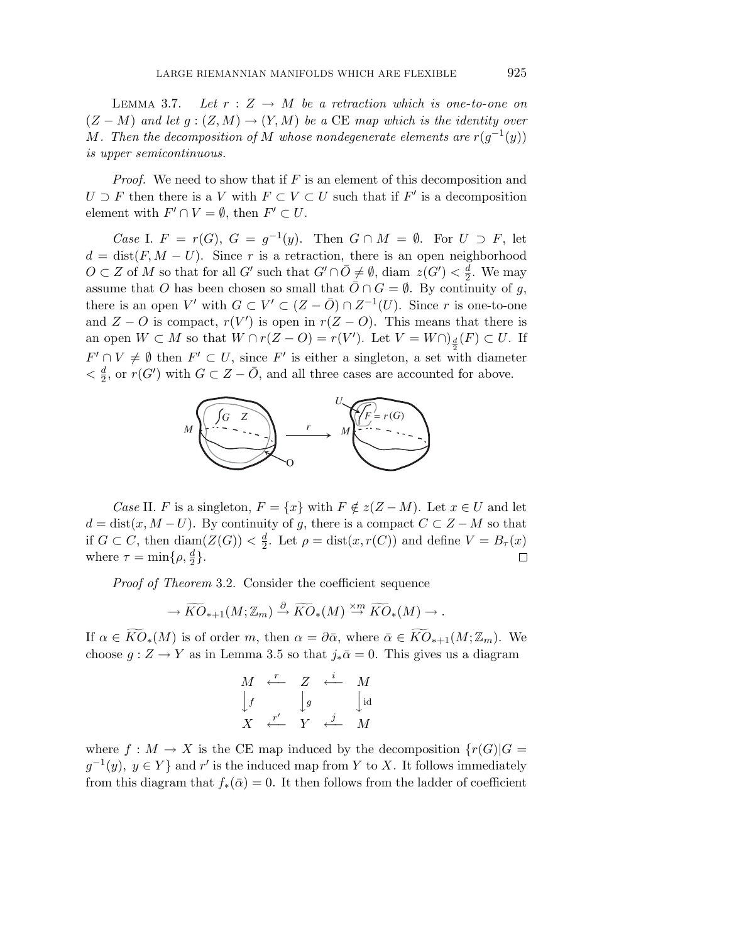LEMMA 3.7. Let  $r : Z \to M$  be a retraction which is one-to-one on  $(Z - M)$  and let  $g : (Z, M) \to (Y, M)$  be a CE map which is the identity over *M*. Then the decomposition of *M* whose nondegenerate elements are  $r(g^{-1}(y))$ is upper semicontinuous.

Proof. We need to show that if *F* is an element of this decomposition and  $U \supset F$  then there is a *V* with  $F \subset V \subset U$  such that if  $F'$  is a decomposition element with  $F' \cap V = \emptyset$ , then  $F' \subset U$ .

*Case* I.  $F = r(G)$ ,  $G = g^{-1}(y)$ . Then  $G \cap M = \emptyset$ . For  $U \supset F$ , let  $d = \text{dist}(F, M - U)$ . Since *r* is a retraction, there is an open neighborhood *O* ⊂ *Z* of *M* so that for all *G*<sup> $\prime$ </sup> such that *G*<sup> $\prime$ </sup> ∩  $\overline{O}$  ≠  $\emptyset$ , diam *z*(*G*<sup> $\prime$ </sup>) <  $\frac{d}{2}$ . We may assume that *O* has been chosen so small that  $\overline{O} \cap G = \emptyset$ . By continuity of *g*, there is an open *V'* with  $G \subset V' \subset (Z - \overline{O}) \cap Z^{-1}(U)$ . Since *r* is one-to-one and  $Z - O$  is compact,  $r(V')$  is open in  $r(Z - O)$ . This means that there is an open  $W \subset M$  so that  $W \cap r(Z - O) = r(V')$ . Let  $V = W \cap \underline{d}(F) \subset U$ . If  $F' \cap V \neq \emptyset$  then  $F' \subset U$ , since  $F'$  is either a singleton, a set with diameter  $\langle \frac{d}{2}, \text{ or } r(G') \text{ with } G \subset Z - \overline{O}$ , and all three cases are accounted for above.



*Case* II. *F* is a singleton,  $F = \{x\}$  with  $F \notin z(Z - M)$ . Let  $x \in U$  and let  $d = \text{dist}(x, M - U)$ . By continuity of *g*, there is a compact  $C \subset Z - M$  so that if  $G \subset C$ , then  $\text{diam}(Z(G)) < \frac{d}{2}$ . Let  $\rho = \text{dist}(x, r(C))$  and define  $V = B_{\tau}(x)$  $\mathcal{H}(\rho, \frac{d}{2})$ .<br> *Ko*•+1(*M*; Z<sub>m</sub>)  $\stackrel{\partial}{\to} \widetilde{KO}_{*}(M) \stackrel{\times m}{\to} \widetilde{KO}_{*}(M) \to$ . where  $\tau = \min\{\rho, \frac{d}{2}\}.$  $\Box$ 

Proof of Theorem 3.2. Consider the coefficient sequence

$$
\rightarrow \widetilde{KO}_{*+1}(M;\mathbb{Z}_m) \stackrel{\partial}{\rightarrow} \widetilde{KO}_{*}(M) \stackrel{\times m}{\rightarrow} \widetilde{KO}_{*}(M) \rightarrow \overline{Koh}
$$

*Proof of Theorem* 3.2. Consider the coefficient sequence<br>  $\rightarrow \widetilde{KO}_{*+1}(M; \mathbb{Z}_m) \stackrel{\partial}{\rightarrow} \widetilde{KO}_{*}(M) \stackrel{\times m}{\rightarrow} \widetilde{KO}_{*}(M) \rightarrow$ .<br>
If  $\alpha \in \widetilde{KO}_{*}(M)$  is of order *m*, then  $\alpha = \partial \bar{\alpha}$ , where  $\bar{\alpha} \in \widetilde{KO}_{*+1}(M; \mathbb{Z}_m$ choose  $g: Z \to Y$  as in Lemma 3.5 so that  $j_*\bar{\alpha} = 0$ . This gives us a diagram  $\boldsymbol{\eta}$  $\mathbf{r}$ h

$$
\begin{array}{ccc}\nM & \stackrel{r}{\longleftarrow} & Z & \stackrel{i}{\longleftarrow} & M \\
\downarrow f & & \downarrow g & & \downarrow id \\
X & \stackrel{r'}{\longleftarrow} & Y & \stackrel{j}{\longleftarrow} & M\n\end{array}
$$

where  $f: M \to X$  is the CE map induced by the decomposition  $\{r(G) | G =$  $g^{-1}(y)$ ,  $y \in Y$  } and *r*<sup> $\prime$ </sup> is the induced map from *Y* to *X*. It follows immediately from this diagram that  $f_*(\bar{\alpha}) = 0$ . It then follows from the ladder of coefficient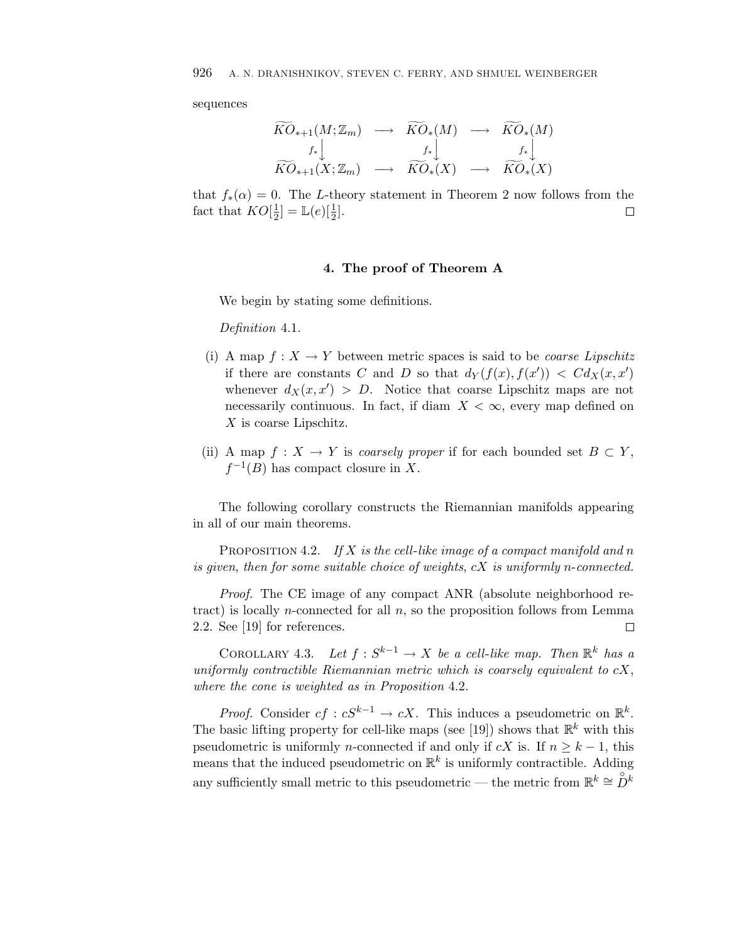sequences

926 A. N. DRANSHNIKOV, STEVEN C. FERRY, AND SHMUEL WEINBERGER  
sequences  

$$
\widetilde{KO}_{*+1}(M; \mathbb{Z}_m) \longrightarrow \widetilde{KO}_*(M) \longrightarrow \widetilde{KO}_*(M)
$$

$$
f_* \downarrow \qquad \qquad f_* \downarrow \qquad \qquad f_* \downarrow
$$

$$
\widetilde{KO}_{*+1}(X; \mathbb{Z}_m) \longrightarrow \widetilde{KO}_*(X) \longrightarrow \widetilde{KO}_*(X)
$$

that  $f_*(\alpha) = 0$ . The *L*-theory statement in Theorem 2 now follows from the fact that  $KO[\frac{1}{2}] = \mathbb{L}(e)[\frac{1}{2}].$  $\Box$ 

## **4. The proof of Theorem A**

We begin by stating some definitions.

Definition 4.1.

- (i) A map  $f: X \to Y$  between metric spaces is said to be *coarse Lipschitz* if there are constants *C* and *D* so that  $d_Y(f(x), f(x')) < C d_X(x, x')$ whenever  $d_X(x, x') > D$ . Notice that coarse Lipschitz maps are not necessarily continuous. In fact, if diam  $X < \infty$ , every map defined on *X* is coarse Lipschitz.
- (ii) A map  $f: X \to Y$  is *coarsely proper* if for each bounded set  $B \subset Y$ ,  $f^{-1}(B)$  has compact closure in *X*.

The following corollary constructs the Riemannian manifolds appearing in all of our main theorems.

PROPOSITION 4.2. If *X* is the cell-like image of a compact manifold and *n* is given, then for some suitable choice of weights, *cX* is uniformly *n*-connected.

Proof. The CE image of any compact ANR (absolute neighborhood retract) is locally *n*-connected for all *n*, so the proposition follows from Lemma 2.2. See [19] for references.  $\Box$ 

COROLLARY 4.3. Let  $f : S^{k-1} \to X$  be a cell-like map. Then  $\mathbb{R}^k$  has a uniformly contractible Riemannian metric which is coarsely equivalent to *cX*, where the cone is weighted as in Proposition 4.2.

*Proof.* Consider  $cf: cS^{k-1} \to cX$ . This induces a pseudometric on  $\mathbb{R}^k$ . The basic lifting property for cell-like maps (see [19]) shows that  $\mathbb{R}^k$  with this pseudometric is uniformly *n*-connected if and only if  $cX$  is. If  $n \geq k - 1$ , this means that the induced pseudometric on  $\mathbb{R}^k$  is uniformly contractible. Adding any sufficiently small metric to this pseudometric — the metric from  $\mathbb{R}^k \cong \overset{\circ}{D}{}^k$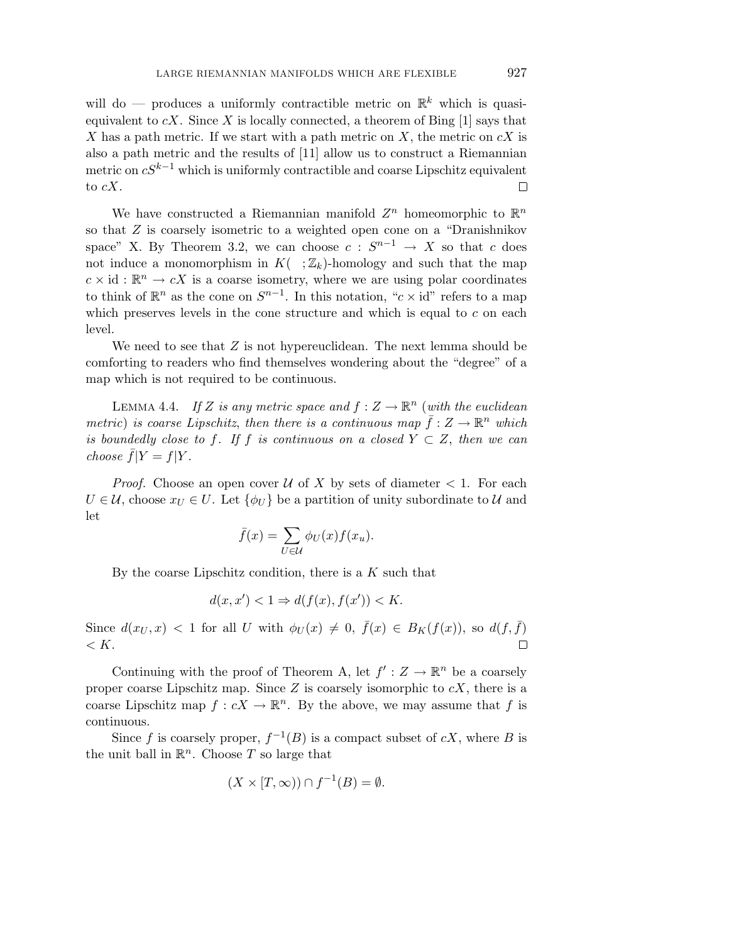will do — produces a uniformly contractible metric on  $\mathbb{R}^k$  which is quasiequivalent to  $cX$ . Since X is locally connected, a theorem of Bing  $[1]$  says that *X* has a path metric. If we start with a path metric on *X*, the metric on *cX* is also a path metric and the results of [11] allow us to construct a Riemannian metric on *cS*k−<sup>1</sup> which is uniformly contractible and coarse Lipschitz equivalent to *cX*. □

We have constructed a Riemannian manifold  $Z^n$  homeomorphic to  $\mathbb{R}^n$ so that *Z* is coarsely isometric to a weighted open cone on a "Dranishnikov space" X. By Theorem 3.2, we can choose  $c : S^{n-1} \to X$  so that  $c$  does not induce a monomorphism in  $K(-;\mathbb{Z}_k)$ -homology and such that the map  $c \times id : \mathbb{R}^n \to cX$  is a coarse isometry, where we are using polar coordinates to think of  $\mathbb{R}^n$  as the cone on  $S^{n-1}$ . In this notation, "*c* × id" refers to a map which preserves levels in the cone structure and which is equal to *c* on each level.

We need to see that *Z* is not hypereuclidean. The next lemma should be comforting to readers who find themselves wondering about the "degree" of a map which is not required to be continuous.

LEMMA 4.4. If *Z* is any metric space and  $f: Z \to \mathbb{R}^n$  (with the euclidean metric) is coarse Lipschitz, then there is a continuous map  $\bar{f}: Z \to \mathbb{R}^n$  which is boundedly close to f. If f is continuous on a closed  $Y \subset Z$ , then we can choose  $\overline{f}|Y = f|Y$ .

*Proof.* Choose an open cover  $U$  of X by sets of diameter  $\lt 1$ . For each  $U \in \mathcal{U}$ , choose  $x_U \in U$ . Let  $\{\phi_U\}$  be a partition of unity subordinate to  $\mathcal{U}$  and let i cover  $\mathcal{U}$  or  $\{\phi_U\}$  be a<br> $\bar{f}(x) = \sum$ 

$$
\bar{f}(x) = \sum_{U \in \mathcal{U}} \phi_U(x) f(x_u).
$$

By the coarse Lipschitz condition, there is a *K* such that

$$
d(x, x') < 1 \Rightarrow d(f(x), f(x')) < K.
$$

Since  $d(x_U, x) < 1$  for all *U* with  $\phi_U(x) \neq 0$ ,  $\bar{f}(x) \in B_K(f(x))$ , so  $d(f, \bar{f})$ *< K*.

Continuing with the proof of Theorem A, let  $f': Z \to \mathbb{R}^n$  be a coarsely proper coarse Lipschitz map. Since *Z* is coarsely isomorphic to *cX*, there is a coarse Lipschitz map  $f : cX \to \mathbb{R}^n$ . By the above, we may assume that f is continuous.

Since *f* is coarsely proper,  $f^{-1}(B)$  is a compact subset of *cX*, where *B* is the unit ball in  $\mathbb{R}^n$ . Choose *T* so large that

$$
(X \times [T, \infty)) \cap f^{-1}(B) = \emptyset.
$$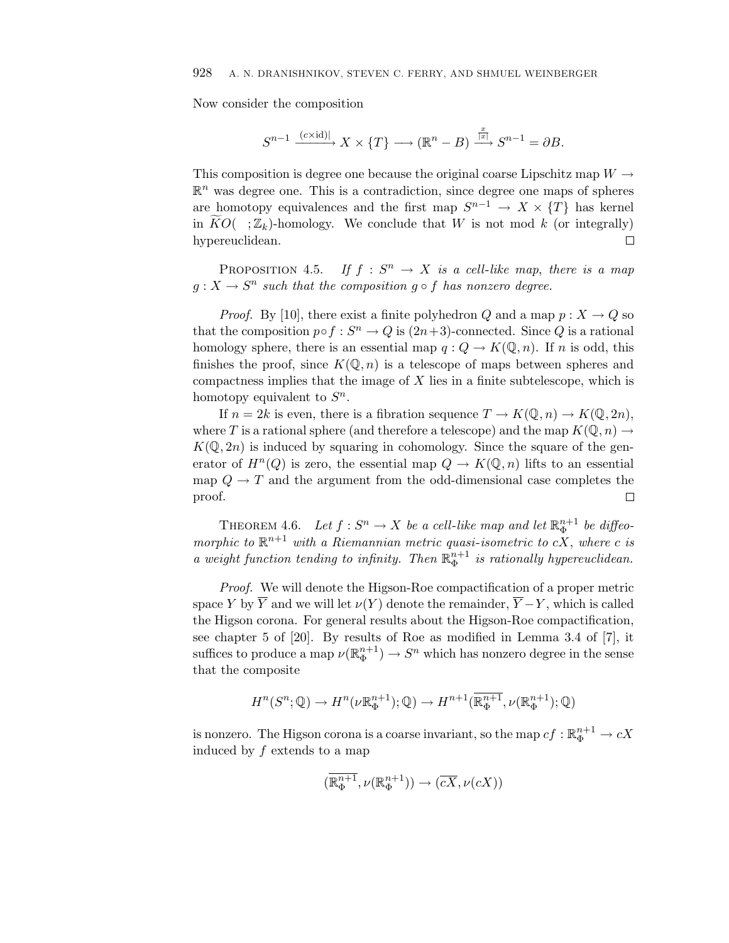Now consider the composition

$$
S^{n-1} \xrightarrow{(c \times \mathrm{id})} X \times \{T\} \longrightarrow (\mathbb{R}^n - B) \xrightarrow{\frac{x}{|x|}} S^{n-1} = \partial B.
$$

This composition is degree one because the original coarse Lipschitz map  $W \to \mathbb{R}^n$  was degree one. This is a contradiction, since degree one maps of spheres are homotopy equivalences and the first map  $S^{n-1} \to X \times \{T\$ This composition is degree one because the original coarse Lipschitz map  $W \rightarrow$  $\mathbb{R}^n$  was degree one. This is a contradiction, since degree one maps of spheres are homotopy equivalences and the first map  $S^{n-1} \to X \times \{T\}$  has kernel hypereuclidean.  $\Box$ 

PROPOSITION 4.5. If  $f : S^n \to X$  is a cell-like map, there is a map  $q: X \to S^n$  such that the composition  $q \circ f$  has nonzero degree.

*Proof.* By [10], there exist a finite polyhedron *Q* and a map  $p: X \to Q$  so that the composition  $p \circ f : S^n \to Q$  is  $(2n+3)$ -connected. Since *Q* is a rational homology sphere, there is an essential map  $q: Q \to K(\mathbb{Q}, n)$ . If *n* is odd, this finishes the proof, since  $K(\mathbb{Q}, n)$  is a telescope of maps between spheres and compactness implies that the image of *X* lies in a finite subtelescope, which is homotopy equivalent to  $S^n$ .

If  $n = 2k$  is even, there is a fibration sequence  $T \to K(\mathbb{Q}, n) \to K(\mathbb{Q}, 2n)$ , where *T* is a rational sphere (and therefore a telescope) and the map  $K(\mathbb{Q}, n) \to$  $K(\mathbb{Q}, 2n)$  is induced by squaring in cohomology. Since the square of the generator of  $H^n(Q)$  is zero, the essential map  $Q \to K(\mathbb{Q}, n)$  lifts to an essential map  $Q \to T$  and the argument from the odd-dimensional case completes the proof.  $\Box$ 

THEOREM 4.6. Let  $f: S^n \to X$  be a cell-like map and let  $\mathbb{R}_{\Phi}^{n+1}$  be diffeomorphic to  $\mathbb{R}^{n+1}$  with a Riemannian metric quasi-isometric to  $cX$ , where c is a weight function tending to infinity. Then  $\mathbb{R}_{\Phi}^{n+1}$  is rationally hypereuclidean.

Proof. We will denote the Higson-Roe compactification of a proper metric space *Y* by  $\overline{Y}$  and we will let  $\nu(Y)$  denote the remainder,  $\overline{Y} - Y$ , which is called the Higson corona. For general results about the Higson-Roe compactification, see chapter 5 of [20]. By results of Roe as modified in Lemma 3.4 of [7], it suffices to produce a map  $\nu(\mathbb{R}_{\Phi}^{n+1}) \to S^n$  which has nonzero degree in the sense that the composite

$$
H^n(S^n; \mathbb{Q}) \to H^n(\nu \mathbb{R}_{\Phi}^{n+1}); \mathbb{Q}) \to H^{n+1}(\overline{\mathbb{R}_{\Phi}^{n+1}}, \nu(\mathbb{R}_{\Phi}^{n+1}); \mathbb{Q})
$$

is nonzero. The Higson corona is a coarse invariant, so the map  $cf : \mathbb{R}_{\Phi}^{n+1} \to cX$ induced by *f* extends to a map

$$
(\overline{\mathbb{R}^{n+1}_\Phi},\nu(\mathbb{R}^{n+1}_\Phi)) \to (\overline{cX},\nu(cX))
$$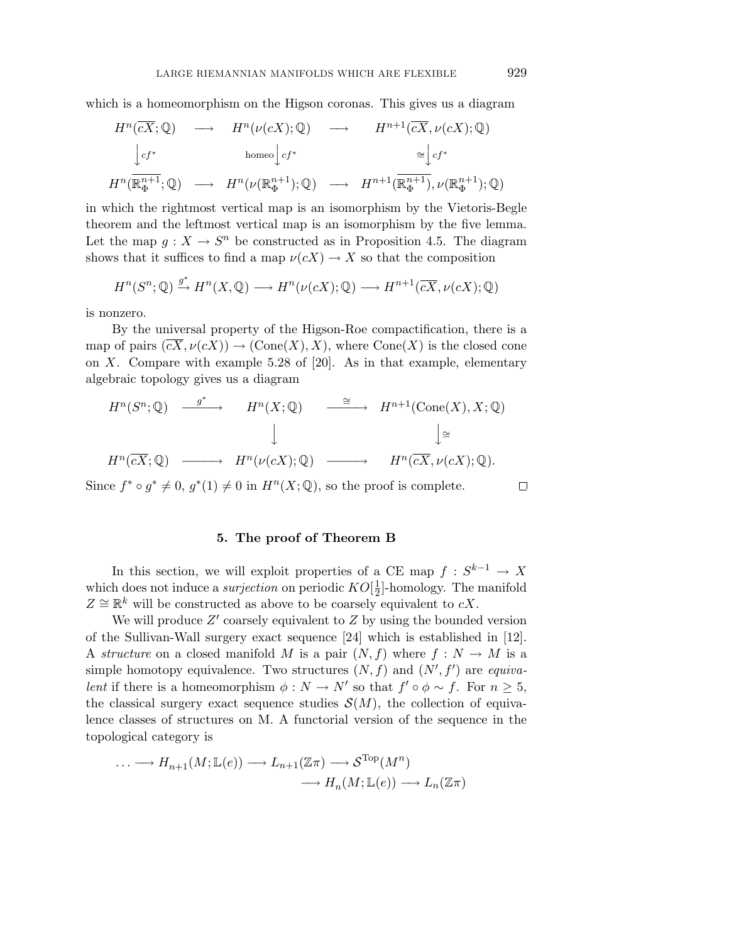which is a homeomorphism on the Higson coronas. This gives us a diagram  $\mathbf{r}$ 

$$
H^{n}(\overline{cX};\mathbb{Q}) \longrightarrow H^{n}(\nu(cX);\mathbb{Q}) \longrightarrow H^{n+1}(\overline{cX},\nu(cX);\mathbb{Q})
$$
  
\n
$$
\downarrow_{cf^{*}} \qquad \text{homeo} \downarrow_{cf^{*}} \qquad \cong \downarrow_{cf^{*}}
$$
  
\n
$$
H^{n}(\overline{\mathbb{R}_{\Phi}^{n+1}};\mathbb{Q}) \longrightarrow H^{n}(\nu(\mathbb{R}_{\Phi}^{n+1});\mathbb{Q}) \longrightarrow H^{n+1}(\overline{\mathbb{R}_{\Phi}^{n+1}}), \nu(\mathbb{R}_{\Phi}^{n+1});\mathbb{Q})
$$

in which the rightmost vertical map is an isomorphism by the Vietoris-Begle theorem and the leftmost vertical map is an isomorphism by the five lemma. Let the map  $g: X \to S^n$  be constructed as in Proposition 4.5. The diagram shows that it suffices to find a map  $\nu(cX) \to X$  so that the composition

$$
H^n(S^n; \mathbb{Q}) \xrightarrow{g^*} H^n(X, \mathbb{Q}) \longrightarrow H^n(\nu(cX); \mathbb{Q}) \longrightarrow H^{n+1}(\overline{cX}, \nu(cX); \mathbb{Q})
$$

is nonzero.

By the universal property of the Higson-Roe compactification, there is a map of pairs  $(\overline{cX}, \nu(cX)) \to (\text{Cone}(X), X)$ , where  $\text{Cone}(X)$  is the closed cone on *X*. Compare with example 5.28 of [20]. As in that example, elementary algebraic topology gives us a diagram Ĵ

$$
H^{n}(S^{n};\mathbb{Q}) \xrightarrow{\qquad g^{*}} H^{n}(X;\mathbb{Q}) \xrightarrow{\qquad \cong} H^{n+1}(\text{Cone}(X),X;\mathbb{Q})
$$
  

$$
\downarrow \qquad \qquad \downarrow \qquad \qquad \downarrow \qquad \qquad \downarrow \cong
$$
  

$$
H^{n}(\overline{cX};\mathbb{Q}) \xrightarrow{\qquad \qquad} H^{n}(\nu(cX);\mathbb{Q}) \xrightarrow{\qquad \qquad} H^{n}(\overline{cX},\nu(cX);\mathbb{Q}).
$$

Since  $f^* \circ g^* \neq 0$ ,  $g^*(1) \neq 0$  in  $H^n(X; \mathbb{Q})$ , so the proof is complete.

# **5. The proof of Theorem B**

In this section, we will exploit properties of a CE map  $f : S^{k-1} \to X$ which does not induce a *surjection* on periodic  $KO[\frac{1}{2}]$ -homology. The manifold  $Z \cong \mathbb{R}^k$  will be constructed as above to be coarsely equivalent to *cX*.

We will produce Z' coarsely equivalent to Z by using the bounded version of the Sullivan-Wall surgery exact sequence [24] which is established in [12]. A structure on a closed manifold *M* is a pair  $(N, f)$  where  $f: N \to M$  is a simple homotopy equivalence. Two structures  $(N, f)$  and  $(N', f')$  are *equiva*lent if there is a homeomorphism  $\phi: N \to N'$  so that  $f' \circ \phi \sim f$ . For  $n \geq 5$ , the classical surgery exact sequence studies  $\mathcal{S}(M)$ , the collection of equivalence classes of structures on M. A functorial version of the sequence in the topological category is

$$
\dots \longrightarrow H_{n+1}(M; \mathbb{L}(e)) \longrightarrow L_{n+1}(\mathbb{Z}\pi) \longrightarrow \mathcal{S}^{\text{Top}}(M^n)
$$

$$
\longrightarrow H_n(M; \mathbb{L}(e)) \longrightarrow L_n(\mathbb{Z}\pi)
$$

 $\Box$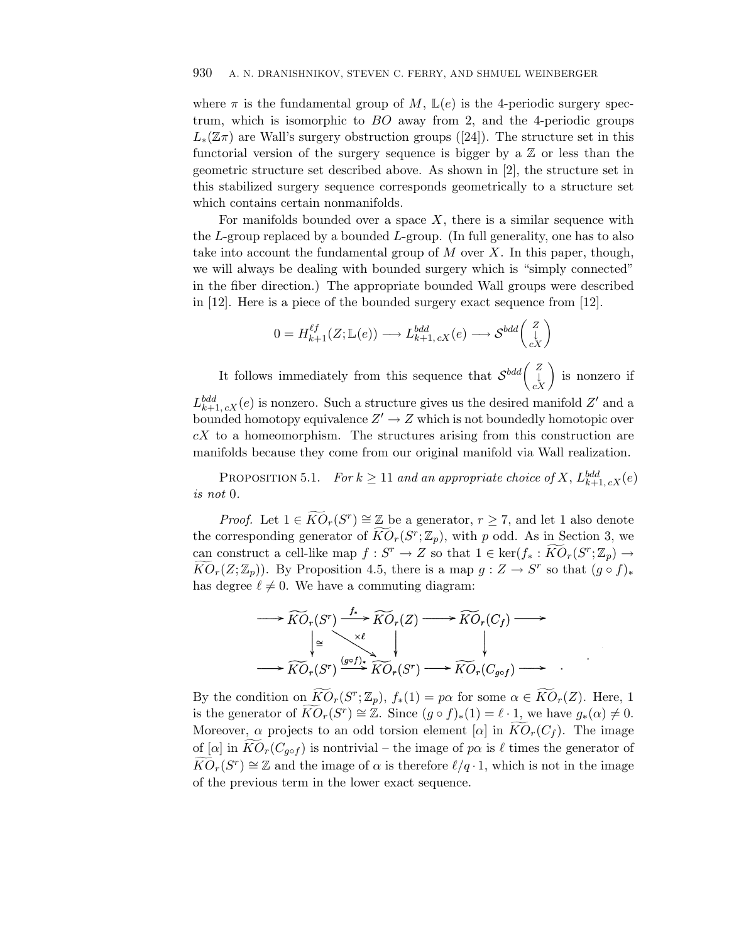where  $\pi$  is the fundamental group of M,  $\mathbb{L}(e)$  is the 4-periodic surgery spectrum, which is isomorphic to *BO* away from 2, and the 4-periodic groups  $L_*(\mathbb{Z}_T)$  are Wall's surgery obstruction groups ([24]). The structure set in this functorial version of the surgery sequence is bigger by a  $\mathbb{Z}$  or less than the geometric structure set described above. As shown in [2], the structure set in this stabilized surgery sequence corresponds geometrically to a structure set which contains certain nonmanifolds.

For manifolds bounded over a space  $X$ , there is a similar sequence with the *L*-group replaced by a bounded *L*-group. (In full generality, one has to also take into account the fundamental group of *M* over *X*. In this paper, though, we will always be dealing with bounded surgery which is "simply connected" in the fiber direction.) The appropriate bounded Wall groups were described in [12]. Here is a piece of the bounded surgery exact sequence from [12]. the post *M* over *X*. In this posted surgery which is "simple bounded Wall groups"<br>
surgery exact sequence for  $\frac{bdd}{k+1}, cX(e) \longrightarrow \mathcal{S}^{bdd}\begin{pmatrix} Z \\ L \\ cX \end{pmatrix}$ 

$$
0 = H_{k+1}^{\ell f}(Z; \mathbb{L}(e)) \longrightarrow L_{k+1,cX}^{bdd}(e) \longrightarrow \mathcal{S}^{bdd}\begin{pmatrix} Z \\ \downarrow \\ cX \end{pmatrix}
$$

2]. Here is a piece of the bounded surgery exact sequence from [12].<br>  $0 = H_{k+1}^{\ell f}(Z; \mathbb{L}(e)) \longrightarrow L_{k+1,cX}^{bdd}(e) \longrightarrow \mathcal{S}^{bdd}\begin{pmatrix} Z \\ \downarrow \\ cX \end{pmatrix}$ <br>
It follows immediately from this sequence that  $\mathcal{S}^{bdd}\begin{pmatrix} Z \\ \downarrow \\ cX \end{pmatrix}$  i

 $L_{k+1, cX}^{bdd}(e)$  is nonzero. Such a structure gives us the desired manifold  $Z'$  and a bounded homotopy equivalence  $Z' \to Z$  which is not boundedly homotopic over *cX* to a homeomorphism. The structures arising from this construction are manifolds because they come from our original manifold via Wall realization.

PROPOSITION 5.1. For  $k \geq 11$  and an appropriate choice of X,  $L_{k+1, cX}^{bdd}(e)$ is not 0. PROPOSITION 5.1. For  $k \ge 11$  and an appropriate choice of X,  $L_{k+1,cX}^{bdd}$  (e.<br>*r* 0.<br>*Proof.* Let  $1 \in \widetilde{KO}_r(S^r) \cong \mathbb{Z}$  be a generator,  $r \ge 7$ , and let 1 also denote

PROPOSITION 5.1. For  $k \ge 11$  and an appropriate choice of *X*,  $L_{k+1,cX}^{bdd}$  (*e* is not 0.<br>*Proof.* Let  $1 \in \widetilde{KO}_r(S^r) \cong \mathbb{Z}$  be a generator,  $r \ge 7$ , and let 1 also denote the corresponding generator of  $\widetilde{KO}_r(S$ can construct a cell-like map  $f : S^T$  :  $\overline{KO}_r(S^r) \cong \mathbb{Z}$  be a generator,  $r \geq 7$ , and let 1 also denote the corresponding generator of  $\widetilde{KO}_r(S^r; \mathbb{Z}_p)$ , with p odd. As in Section 3, we can construct a cell-li *Proof.* Let  $1 \in \widetilde{KO}_r(S^r) \cong \mathbb{Z}$  be a generator,  $r \geq 7$ , and let 1 also denote the corresponding generator of  $\widetilde{KO}_r(S^r; \mathbb{Z}_p)$ , with *p* odd. As in Section 3, we can construct a cell-like map  $f : S^r \to Z$  so has degree  $\ell \neq 0$ . We have a commuting diagram:

$$
\longrightarrow \widetilde{KO}_r(S^r) \xrightarrow{f_*} \widetilde{KO}_r(Z) \longrightarrow \widetilde{KO}_r(C_f) \longrightarrow
$$
\n
$$
\longrightarrow \widetilde{KO}_r(S^r) \xrightarrow{(g \circ f)_*} \widetilde{KO}_r(S^r) \longrightarrow \widetilde{KO}_r(C_{g \circ f}) \longrightarrow
$$
\nBy the condition on  $\widetilde{KO}_r(S^r; \mathbb{Z}_p)$ ,  $f_*(1) = p\alpha$  for some  $\alpha \in \widetilde{KO}_r(Z)$ . Here, 1

 $\overrightarrow{KO}_r(S^r) \xrightarrow{(g \circ f) \star} \overrightarrow{KO}_r(S^r) \longrightarrow \overrightarrow{KO}_r(C_{g \circ f}) \longrightarrow$ <br>By the condition on  $\overrightarrow{KO}_r(S^r; \mathbb{Z}_p)$ ,  $f_*(1) = p\alpha$  for some  $\alpha \in \overrightarrow{KO}_r(Z)$ . Here, 1<br>is the generator of  $\overrightarrow{KO}_r(S^r) \cong \mathbb{Z}$ . Since  $(g \circ f)_*(1) = \ell \cdot 1$ , we have  $\longrightarrow \widetilde{KO}_r(S^r) \longrightarrow \widetilde{KO}_r(S^r) \longrightarrow \widetilde{KO}_r(C_{g \circ f}) \longrightarrow$ <br>By the condition on  $\widetilde{KO}_r(S^r; \mathbb{Z}_p)$ ,  $f_*(1) = p\alpha$  for some  $\alpha \in \widetilde{KO}_r(Z)$ . Here, 1<br>is the generator of  $\widetilde{KO}_r(S^r) \cong \mathbb{Z}$ . Since  $(g \circ f)_*(1) = \ell \cdot 1$ , we have  $g$ By the condition on  $\widetilde{KO}_r(S^r; \mathbb{Z}_p)$ ,  $f_*(1) = p\alpha$  for some  $\alpha \in \widetilde{KO}_r(Z)$ . Here, 1<br>is the generator of  $\widetilde{KO}_r(S^r) \cong \mathbb{Z}$ . Since  $(g \circ f)_*(1) = \ell \cdot 1$ , we have  $g_*(\alpha) \neq 0$ .<br>Moreover,  $\alpha$  projects to an odd tor *KO*r(*S*<sup>r</sup>) ≅ Z. Since  $(g \circ f)_*(1) = \ell \cdot 1$ , we have  $g_*(\alpha) \neq 0$ .<br>Moreover,  $\alpha$  projects to an odd torsion element  $[\alpha]$  in  $\widetilde{KO}_r(C_f)$ . The image of  $[\alpha]$  in  $\widetilde{KO}_r(C_{g \circ f})$  is nontrivial – the image of  $p\alpha$  is  $\$ of the previous term in the lower exact sequence.

.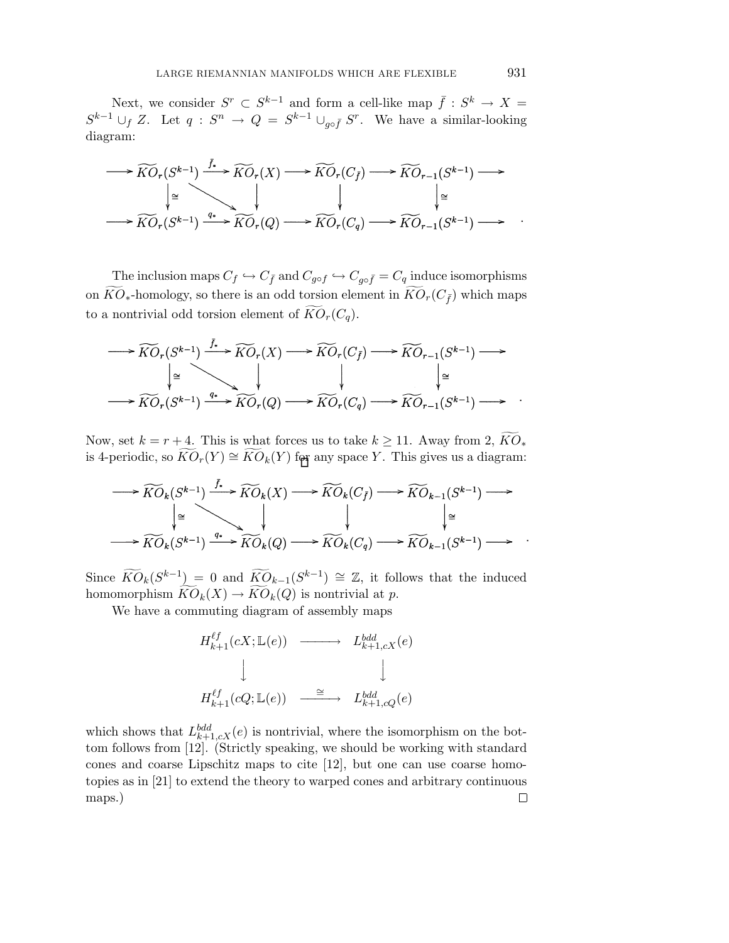Next, we consider  $S^r \subset S^{k-1}$  and form a cell-like map  $\bar{f} : S^k \to X =$  $S^{k-1} \cup_f Z$ . Let  $q: S^n \to Q = S^{k-1} \cup_{g \circ \bar{f}} S^r$ . We have a similar-looking diagram:

$$
\longrightarrow \widetilde{KO}_r(S^{k-1}) \xrightarrow{\widetilde{f}_r} \widetilde{KO}_r(X) \longrightarrow \widetilde{KO}_r(C_{\widetilde{f}}) \longrightarrow \widetilde{KO}_{r-1}(S^{k-1}) \longrightarrow
$$
  

$$
\downarrow \cong \qquad \qquad \downarrow \qquad \qquad \downarrow \qquad \qquad \downarrow \cong
$$
  

$$
\longrightarrow \widetilde{KO}_r(S^{k-1}) \xrightarrow{q_*} \widetilde{KO}_r(Q) \longrightarrow \widetilde{KO}_r(C_q) \longrightarrow \widetilde{KO}_{r-1}(S^{k-1}) \longrightarrow .
$$

The inclusion maps  $C_f \hookrightarrow C_{\bar{f}}$  and  $C_{g \circ f} \hookrightarrow C_{g \circ \bar{f}} = C_q$  induce isomorphisms The inclusion maps  $C_f \hookrightarrow C_{\bar{f}}$  and  $C_{g \circ f} \hookrightarrow C_{g \circ \bar{f}} = C_q$  induce<br>on  $\widetilde{KO}_*$ -homology, so there is an odd torsion element in  $\widetilde{KO}_r(C_{\bar{f}})$ on  $\widehat{KO}_*$ -homology, so there is an odd torsion element in  $\widehat{KO}_r(C_{\bar{f}})$  which maps to a nontrivial odd torsion element of  $\widetilde{KO}_r(C_q)$ .

$$
\longrightarrow \widetilde{KO}_r(S^{k-1}) \xrightarrow{f^*} \widetilde{KO}_r(X) \longrightarrow \widetilde{KO}_r(C_{\tilde{f}}) \longrightarrow \widetilde{KO}_{r-1}(S^{k-1}) \longrightarrow
$$
  
\n
$$
\downarrow \cong \qquad \qquad \downarrow \qquad \qquad \downarrow \cong
$$
  
\n
$$
\longrightarrow \widetilde{KO}_r(S^{k-1}) \xrightarrow{q^*} \widetilde{KO}_r(Q) \longrightarrow \widetilde{KO}_r(C_q) \longrightarrow \widetilde{KO}_{r-1}(S^{k-1}) \longrightarrow
$$
  
\nNow, set  $k = r + 4$ . This is what forces us to take  $k \ge 11$ . Away from 2,  $\widetilde{KO}_r$ .

is 4-periodic, so  $KO_r(Y) \cong KO_k(Y)$  for any space Y. This gives us a diagram:  $\longrightarrow \widetilde{KO}_r(S^{k-1}) \xrightarrow{q_*} \widetilde{KO}_r(Q) \longrightarrow \widetilde{KO}_r(C_q) \longrightarrow \widetilde{KO}_{r-1}(S^{k-1}) \longrightarrow$ <br>Now, set  $k = r + 4$ . This is what forces us to take  $k \ge 11$ . Away from 2,  $\widetilde{KO}_k$ <br>is 4-periodic, so  $\widetilde{KO}_r(Y) \cong \widetilde{KO}_k(Y)$  for any space *Y*. Thi

$$
\longrightarrow \widetilde{KO}_k(S^{k-1}) \xrightarrow{f_*} \widetilde{KO}_k(X) \longrightarrow \widetilde{KO}_k(C_{\bar{f}}) \longrightarrow \widetilde{KO}_{k-1}(S^{k-1}) \longrightarrow
$$
  
\n
$$
\downarrow \cong \qquad \qquad \downarrow \qquad \qquad \downarrow \cong
$$
  
\n
$$
\longrightarrow \widetilde{KO}_k(S^{k-1}) \xrightarrow{q_*} \widetilde{KO}_k(Q) \longrightarrow \widetilde{KO}_k(C_q) \longrightarrow \widetilde{KO}_{k-1}(S^{k-1}) \longrightarrow
$$
  
\nSince  $\widetilde{KO}_k(S^{k-1}) = 0$  and  $\widetilde{KO}_{k-1}(S^{k-1}) \cong \mathbb{Z}$ , it follows that the induced

 $\longrightarrow \widetilde{KO}_k(S^{k-1}) \xrightarrow{q_*} \widetilde{KO}_k(Q) \longrightarrow \widetilde{KO}_k(C_q) \longrightarrow$ <br>Since  $\widetilde{KO}_k(S^{k-1}) = 0$  and  $\widetilde{KO}_{k-1}(S^{k-1}) \cong \mathbb{Z}$ , it fol<br>homomorphism  $\widetilde{KO}_k(X) \to \widetilde{KO}_k(Q)$  is nontrivial at *p*.  $\rightarrow KO_k(Q)$  is nontrivial at

We have a commuting diagram of assembly maps

$$
H_{k+1}^{\ell f}(cX; \mathbb{L}(e)) \longrightarrow L_{k+1,cX}^{bdd}(e)
$$
  

$$
\downarrow \qquad \qquad \downarrow
$$
  

$$
H_{k+1}^{\ell f}(cQ; \mathbb{L}(e)) \longrightarrow L_{k+1,cQ}^{bdd}(e)
$$

which shows that  $L_{k+1,cX}^{bdd}(e)$  is nontrivial, where the isomorphism on the bottom follows from [12]. (Strictly speaking, we should be working with standard cones and coarse Lipschitz maps to cite [12], but one can use coarse homotopies as in [21] to extend the theory to warped cones and arbitrary continuous maps.) $\Box$ 

.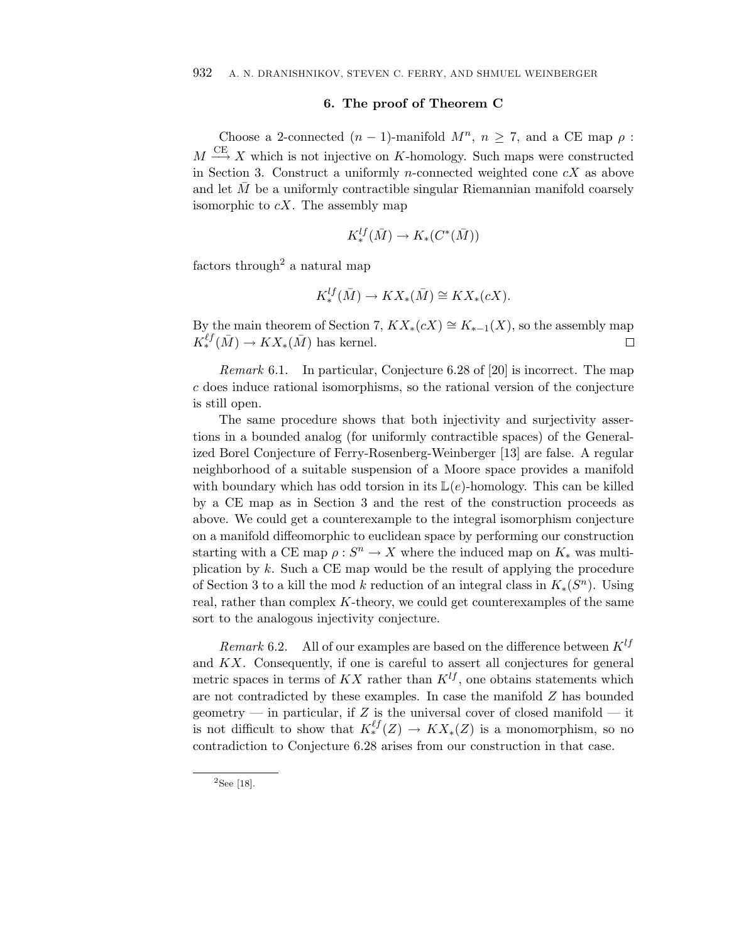#### **6. The proof of Theorem C**

Choose a 2-connected  $(n-1)$ -manifold  $M^n$ ,  $n \geq 7$ , and a CE map  $\rho$ :  $M \stackrel{\text{CE}}{\longrightarrow} X$  which is not injective on *K*-homology. Such maps were constructed in Section 3. Construct a uniformly *n*-connected weighted cone *cX* as above and let  $M$  be a uniformly contractible singular Riemannian manifold coarsely isomorphic to *cX*. The assembly map

$$
K^{lf}_*(\bar{M}) \to K_*(C^*(\bar{M}))
$$

factors through<sup>2</sup> a natural map

$$
K^{lf}_*(\bar{M}) \to KX_*(\bar{M}) \cong KX_*(cX).
$$

By the main theorem of Section 7,  $KX_*(cX) \cong K_{*-1}(X)$ , so the assembly map  $K_*^{\ell_f}(\bar{M}) \to KX_*(\bar{M})$  has kernel.  $K^{\ell f}_*(\bar{M}) \to K X_*(\bar{M})$  has kernel.

Remark 6.1. In particular, Conjecture 6.28 of [20] is incorrect. The map *c* does induce rational isomorphisms, so the rational version of the conjecture is still open.

The same procedure shows that both injectivity and surjectivity assertions in a bounded analog (for uniformly contractible spaces) of the Generalized Borel Conjecture of Ferry-Rosenberg-Weinberger [13] are false. A regular neighborhood of a suitable suspension of a Moore space provides a manifold with boundary which has odd torsion in its  $\mathbb{L}(e)$ -homology. This can be killed by a CE map as in Section 3 and the rest of the construction proceeds as above. We could get a counterexample to the integral isomorphism conjecture on a manifold diffeomorphic to euclidean space by performing our construction starting with a CE map  $\rho : S^n \to X$  where the induced map on  $K_*$  was multiplication by *k*. Such a CE map would be the result of applying the procedure of Section 3 to a kill the mod *k* reduction of an integral class in  $K_*(S^n)$ . Using real, rather than complex *K*-theory, we could get counterexamples of the same sort to the analogous injectivity conjecture.

*Remark* 6.2. All of our examples are based on the difference between  $K^{lf}$ and *KX*. Consequently, if one is careful to assert all conjectures for general metric spaces in terms of  $KX$  rather than  $K^{lf}$ , one obtains statements which are not contradicted by these examples. In case the manifold *Z* has bounded geometry — in particular, if  $Z$  is the universal cover of closed manifold — it is not difficult to show that  $K_*^{\ell f}(Z) \to K X_*(Z)$  is a monomorphism, so no contradiction to Conjecture 6.28 arises from our construction in that case.

<sup>2</sup>See [18].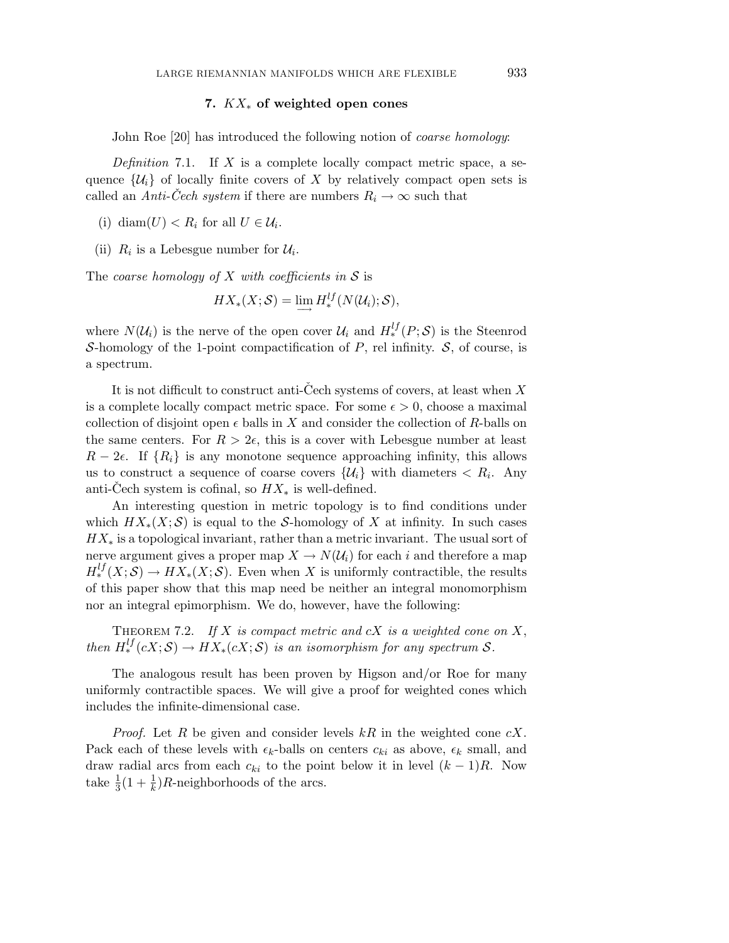#### **7.** *KX*<sup>∗</sup> **of weighted open cones**

John Roe [20] has introduced the following notion of *coarse homology*:

Definition 7.1. If *X* is a complete locally compact metric space, a sequence  $\{\mathcal{U}_i\}$  of locally finite covers of X by relatively compact open sets is called an Anti-Cech system if there are numbers  $R_i \to \infty$  such that

- (i) diam( $U$ ) <  $R_i$  for all  $U \in \mathcal{U}_i$ .
- (ii)  $R_i$  is a Lebesgue number for  $\mathcal{U}_i$ .

The coarse homology of  $X$  with coefficients in  $S$  is

$$
HX_*(X;S) = \lim_{\longrightarrow} H_*^{lf}(N(\mathcal{U}_i);S),
$$

where  $N(\mathcal{U}_i)$  is the nerve of the open cover  $\mathcal{U}_i$  and  $H_*^{lf}(P; S)$  is the Steenrod S-homology of the 1-point compactification of  $P$ , rel infinity.  $S$ , of course, is a spectrum.

It is not difficult to construct anti-Cech systems of covers, at least when X is a complete locally compact metric space. For some  $\epsilon > 0$ , choose a maximal collection of disjoint open  $\epsilon$  balls in *X* and consider the collection of *R*-balls on the same centers. For  $R > 2\epsilon$ , this is a cover with Lebesgue number at least  $R-2\epsilon$ . If  $\{R_i\}$  is any monotone sequence approaching infinity, this allows us to construct a sequence of coarse covers  $\{\mathcal{U}_i\}$  with diameters  $\langle R_i, \text{Any}\rangle$ anti-Cech system is cofinal, so  $HX_*$  is well-defined.

An interesting question in metric topology is to find conditions under which  $H X_*(X; S)$  is equal to the S-homology of X at infinity. In such cases *HX*<sup>∗</sup> is a topological invariant, rather than a metric invariant. The usual sort of nerve argument gives a proper map  $X \to N(\mathcal{U}_i)$  for each *i* and therefore a map  $H_*^{lf}(X; S) \to HX_*(X; S)$ . Even when *X* is uniformly contractible, the results of this paper show that this map need be neither an integral monomorphism nor an integral epimorphism. We do, however, have the following:

THEOREM 7.2. If  $X$  is compact metric and  $cX$  is a weighted cone on  $X$ , then  $H^{lf}_*(cX; S) \to HX_*(cX; S)$  is an isomorphism for any spectrum  $S$ .

The analogous result has been proven by Higson and/or Roe for many uniformly contractible spaces. We will give a proof for weighted cones which includes the infinite-dimensional case.

Proof. Let *R* be given and consider levels *kR* in the weighted cone *cX*. Pack each of these levels with  $\epsilon_k$ -balls on centers  $c_{ki}$  as above,  $\epsilon_k$  small, and draw radial arcs from each  $c_{ki}$  to the point below it in level  $(k-1)R$ . Now take  $\frac{1}{3}(1+\frac{1}{k})R$ -neighborhoods of the arcs.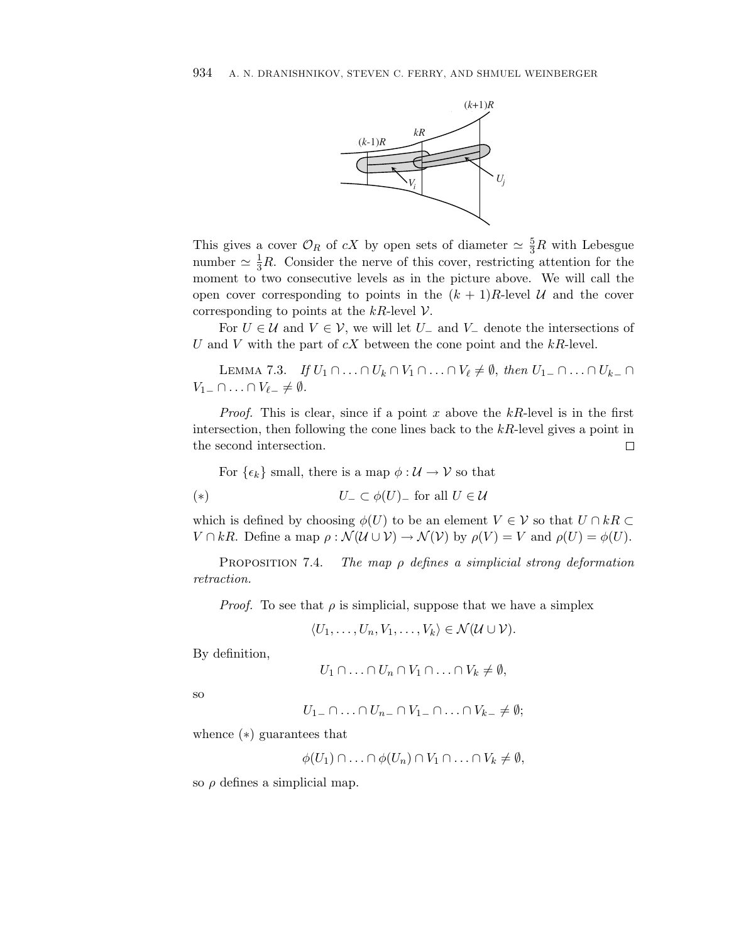

This gives a cover  $\mathcal{O}_R$  of  $cX$  by open sets of diameter  $\simeq \frac{5}{3}R$  with Lebesgue number  $\simeq \frac{1}{3}R$ . Consider the nerve of this cover, restricting attention for the moment to two consecutive levels as in the picture above. We will call the open cover corresponding to points in the  $(k+1)R$ -level U and the cover corresponding to points at the  $kR$ -level  $\mathcal V$ .

For  $U \in \mathcal{U}$  and  $V \in \mathcal{V}$ , we will let  $U_{-}$  and  $V_{-}$  denote the intersections of *U* and *V* with the part of *cX* between the cone point and the *kR*-level.

LEMMA 7.3. If  $U_1 \cap ... \cap U_k \cap V_1 \cap ... \cap V_\ell \neq \emptyset$ , then  $U_{1-} \cap ... \cap U_{k-} \cap$  $V_{1-}\cap\ldots\cap V_{\ell-}\neq\emptyset.$ 

Proof. This is clear, since if a point *x* above the *kR*-level is in the first intersection, then following the cone lines back to the *kR*-level gives a point in the second intersection.  $\Box$ 

For  $\{\epsilon_k\}$  small, there is a map  $\phi: U \to V$  so that

$$
V_- \subset \phi(U) \quad \text{for all } U \in \mathcal{U}
$$

which is defined by choosing  $\phi(U)$  to be an element  $V \in V$  so that  $U \cap kR \subset$  $V \cap kR$ . Define a map  $\rho : \mathcal{N}(\mathcal{U} \cup \mathcal{V}) \to \mathcal{N}(\mathcal{V})$  by  $\rho(V) = V$  and  $\rho(U) = \phi(U)$ .

Proposition 7.4. The map *ρ* defines a simplicial strong deformation retraction.

*Proof.* To see that  $\rho$  is simplicial, suppose that we have a simplex

$$
\langle U_1,\ldots,U_n,V_1,\ldots,V_k\rangle\in\mathcal{N}(\mathcal{U}\cup\mathcal{V}).
$$

By definition,

$$
U_1 \cap \ldots \cap U_n \cap V_1 \cap \ldots \cap V_k \neq \emptyset,
$$

so

$$
U_{1-}\cap\ldots\cap U_{n-}\cap V_{1-}\cap\ldots\cap V_{k-}\neq\emptyset;
$$

whence (∗) guarantees that

$$
\phi(U_1) \cap \ldots \cap \phi(U_n) \cap V_1 \cap \ldots \cap V_k \neq \emptyset,
$$

so *ρ* defines a simplicial map.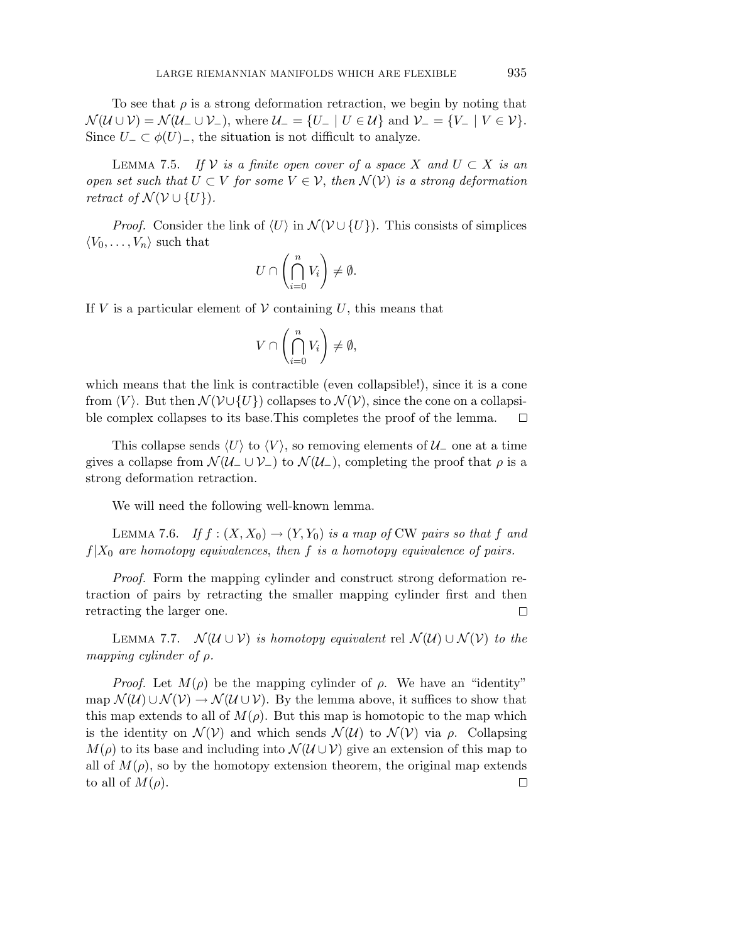To see that  $\rho$  is a strong deformation retraction, we begin by noting that  $\mathcal{N}(\mathcal{U}\cup\mathcal{V})=\mathcal{N}(\mathcal{U}_-\cup\mathcal{V}_-),$  where  $\mathcal{U}_-=\{U_-\mid U\in\mathcal{U}\}\$  and  $\mathcal{V}_-=\{V_-\mid V\in\mathcal{V}\}.$ Since  $U_$  ⊂  $\phi(U)$ <sub>−</sub>, the situation is not difficult to analyze.

LEMMA 7.5. If  $\mathcal V$  is a finite open cover of a space X and  $U \subset X$  is an open set such that  $U \subset V$  for some  $V \in V$ , then  $\mathcal{N}(V)$  is a strong deformation retract of  $\mathcal{N}(V \cup \{U\})$ . *retract of*  $\mathcal{N}(\mathcal{V}\cup\{U\})$ .

*Proof.* Consider the link of  $\langle U \rangle$  in  $\mathcal{N}(\mathcal{V} \cup \{U\})$ . This consists of simplices  $\langle V_0, \ldots, V_n \rangle$  such that

$$
U \cap \left(\bigcap_{i=0}^n V_i\right) \neq \emptyset.
$$

If  $V$  is a particular element of  $V$  containing  $U$ , this means that

$$
V\cap\left(\bigcap_{i=0}^n V_i\right)\neq\emptyset,
$$

which means that the link is contractible (even collapsible!), since it is a cone from  $\langle V \rangle$ . But then  $\mathcal{N}(\mathcal{V} \cup \{U\})$  collapses to  $\mathcal{N}(\mathcal{V})$ , since the cone on a collapsible complex collapses to its base.This completes the proof of the lemma.  $\Box$ 

This collapse sends  $\langle U \rangle$  to  $\langle V \rangle$ , so removing elements of  $\mathcal{U}_-$  one at a time gives a collapse from  $\mathcal{N}(\mathcal{U}_-\cup\mathcal{V}_-)$  to  $\mathcal{N}(\mathcal{U}_-)$ , completing the proof that  $\rho$  is a strong deformation retraction.

We will need the following well-known lemma.

LEMMA 7.6. If  $f : (X, X_0) \to (Y, Y_0)$  is a map of CW pairs so that f and  $f|X_0$  are homotopy equivalences, then *f* is a homotopy equivalence of pairs.

Proof. Form the mapping cylinder and construct strong deformation retraction of pairs by retracting the smaller mapping cylinder first and then retracting the larger one.  $\Box$ 

LEMMA 7.7.  $\mathcal{N}(U \cup V)$  is homotopy equivalent rel  $\mathcal{N}(U) \cup \mathcal{N}(V)$  to the mapping cylinder of *ρ*.

*Proof.* Let  $M(\rho)$  be the mapping cylinder of  $ρ$ . We have an "identity" map  $\mathcal{N}(U) \cup \mathcal{N}(V) \rightarrow \mathcal{N}(U \cup V)$ . By the lemma above, it suffices to show that this map extends to all of  $M(\rho)$ . But this map is homotopic to the map which is the identity on  $\mathcal{N}(V)$  and which sends  $\mathcal{N}(U)$  to  $\mathcal{N}(V)$  via  $\rho$ . Collapsing  $M(\rho)$  to its base and including into  $\mathcal{N}(\mathcal{U}\cup\mathcal{V})$  give an extension of this map to all of  $M(\rho)$ , so by the homotopy extension theorem, the original map extends to all of  $M(\rho)$ .  $\Box$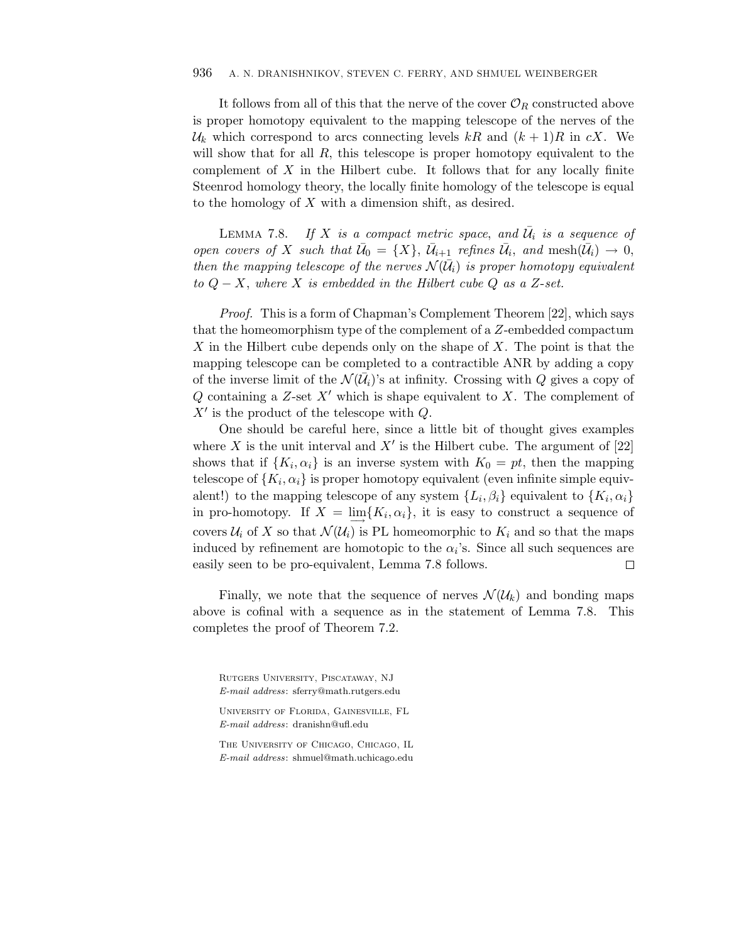It follows from all of this that the nerve of the cover  $\mathcal{O}_R$  constructed above is proper homotopy equivalent to the mapping telescope of the nerves of the  $\mathcal{U}_k$  which correspond to arcs connecting levels kR and  $(k+1)R$  in *cX*. We will show that for all R, this telescope is proper homotopy equivalent to the complement of *X* in the Hilbert cube. It follows that for any locally finite Steenrod homology theory, the locally finite homology of the telescope is equal to the homology of *X* with a dimension shift, as desired.

LEMMA 7.8. If X is a compact metric space, and  $\bar{U}_i$  is a sequence of open covers of *X* such that  $\bar{U}_0 = \{X\}$ ,  $\bar{U}_{i+1}$  refines  $\bar{U}_i$ , and mesh $(\bar{U}_i) \to 0$ , then the mapping telescope of the nerves  $\mathcal{N}(\bar{\mathcal{U}}_i)$  is proper homotopy equivalent to  $Q − X$ , where *X* is embedded in the Hilbert cube  $Q$  as a *Z*-set.

Proof. This is a form of Chapman's Complement Theorem [22], which says that the homeomorphism type of the complement of a *Z*-embedded compactum *X* in the Hilbert cube depends only on the shape of *X*. The point is that the mapping telescope can be completed to a contractible ANR by adding a copy of the inverse limit of the  $\mathcal{N}(\overline{\mathcal{U}}_i)$ 's at infinity. Crossing with *Q* gives a copy of *Q* containing a *Z*-set *X*- which is shape equivalent to *X*. The complement of *X*- is the product of the telescope with *Q*.

One should be careful here, since a little bit of thought gives examples where  $X$  is the unit interval and  $X'$  is the Hilbert cube. The argument of  $[22]$ shows that if  $\{K_i, \alpha_i\}$  is an inverse system with  $K_0 = pt$ , then the mapping telescope of  $\{K_i, \alpha_i\}$  is proper homotopy equivalent (even infinite simple equivalent!) to the mapping telescope of any system  $\{L_i, \beta_i\}$  equivalent to  $\{K_i, \alpha_i\}$ in pro-homotopy. If  $X = \lim{K_i, \alpha_i}$ , it is easy to construct a sequence of covers  $\mathcal{U}_i$  of X so that  $\mathcal{N}(\mathcal{U}_i)$  is PL homeomorphic to  $K_i$  and so that the maps induced by refinement are homotopic to the  $\alpha_i$ 's. Since all such sequences are easily seen to be pro-equivalent, Lemma 7.8 follows. 口

Finally, we note that the sequence of nerves  $\mathcal{N}(\mathcal{U}_k)$  and bonding maps above is cofinal with a sequence as in the statement of Lemma 7.8. This completes the proof of Theorem 7.2.

Rutgers University, Piscataway, NJ *E-mail address*: sferry@math.rutgers.edu

The University of Chicago, Chicago, IL *E-mail address*: shmuel@math.uchicago.edu

University of Florida, Gainesville, FL *E-mail address*: dranishn@ufl.edu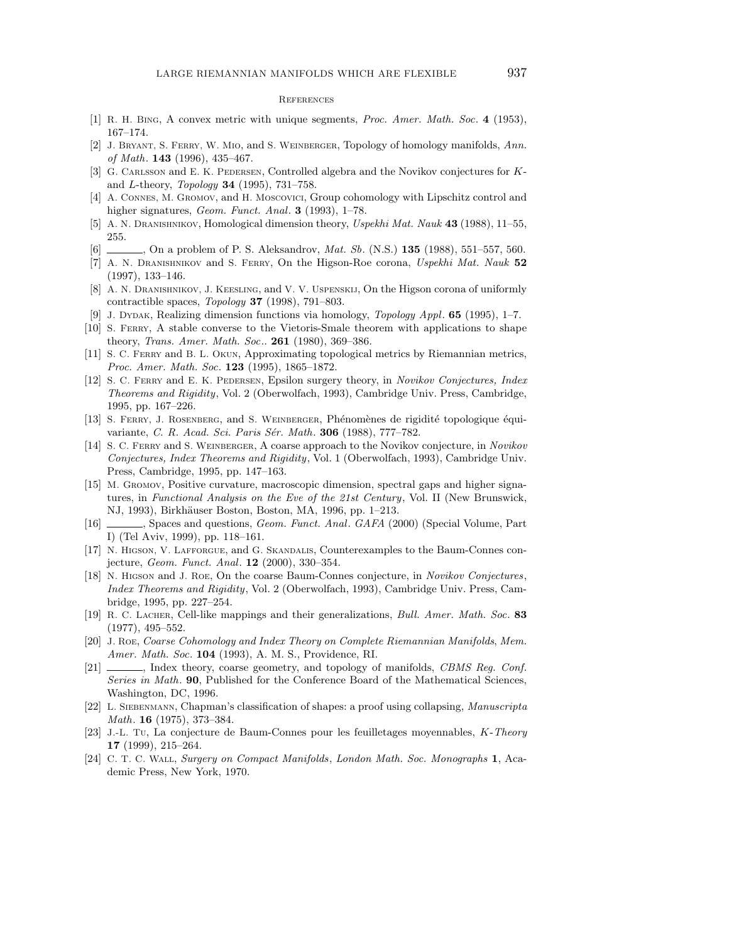#### **REFERENCES**

- [1] R. H. Bing, A convex metric with unique segments, *Proc. Amer. Math. Soc*. **4** (1953), 167–174.
- [2] J. Bryant, S. Ferry, W. Mio, and S. Weinberger, Topology of homology manifolds, *Ann. of Math*. **143** (1996), 435–467.
- [3] G. Carlsson and E. K. Pedersen, Controlled algebra and the Novikov conjectures for *K*and *L*-theory, *Topology* **34** (1995), 731–758.
- [4] A. CONNES, M. GROMOV, and H. MOSCOVICI, Group cohomology with Lipschitz control and higher signatures, *Geom. Funct. Anal*. **3** (1993), 1–78.
- [5] A. N. Dranishnikov, Homological dimension theory, *Uspekhi Mat. Nauk* **43** (1988), 11–55, 255.
- [6] , On a problem of P. S. Aleksandrov, *Mat. Sb*. (N.S.) **135** (1988), 551–557, 560.
- [7] A. N. Dranishnikov and S. Ferry, On the Higson-Roe corona, *Uspekhi Mat. Nauk* **52** (1997), 133–146.
- [8] A. N. DRANISHNIKOV, J. KEESLING, and V. V. USPENSKIJ, On the Higson corona of uniformly contractible spaces, *Topology* **37** (1998), 791–803.
- [9] J. DYDAK, Realizing dimension functions via homology, *Topology Appl.* **65** (1995), 1-7.
- [10] S. Ferry, A stable converse to the Vietoris-Smale theorem with applications to shape theory, *Trans. Amer. Math. Soc.*. **261** (1980), 369–386.
- [11] S. C. Ferry and B. L. Okun, Approximating topological metrics by Riemannian metrics, *Proc. Amer. Math. Soc*. **123** (1995), 1865–1872.
- [12] S. C. Ferry and E. K. Pedersen, Epsilon surgery theory, in *Novikov Conjectures, Index Theorems and Rigidity*, Vol. 2 (Oberwolfach, 1993), Cambridge Univ. Press, Cambridge, 1995, pp. 167–226.
- [13] S. FERRY, J. ROSENBERG, and S. WEINBERGER, Phénomènes de rigidité topologique équivariante, *C. R. Acad. Sci. Paris S´er. Math*. **306** (1988), 777–782.
- [14] S. C. Ferry and S. Weinberger, A coarse approach to the Novikov conjecture, in *Novikov Conjectures, Index Theorems and Rigidity*, Vol. 1 (Oberwolfach, 1993), Cambridge Univ. Press, Cambridge, 1995, pp. 147–163.
- [15] M. GROMOV, Positive curvature, macroscopic dimension, spectral gaps and higher signatures, in *Functional Analysis on the Eve of the 21st Century*, Vol. II (New Brunswick, NJ, 1993), Birkhäuser Boston, Boston, MA, 1996, pp. 1–213.
- [16] , Spaces and questions, *Geom. Funct. Anal*. *GAFA* (2000) (Special Volume, Part I) (Tel Aviv, 1999), pp. 118–161.
- [17] N. Higson, V. Lafforgue, and G. Skandalis, Counterexamples to the Baum-Connes conjecture, *Geom. Funct. Anal*. **12** (2000), 330–354.
- [18] N. Higson and J. Roe, On the coarse Baum-Connes conjecture, in *Novikov Conjectures*, *Index Theorems and Rigidity*, Vol. 2 (Oberwolfach, 1993), Cambridge Univ. Press, Cambridge, 1995, pp. 227–254.
- [19] R. C. Lacher, Cell-like mappings and their generalizations, *Bull. Amer. Math. Soc*. **83** (1977), 495–552.
- [20] J. Roe, *Coarse Cohomology and Index Theory on Complete Riemannian Manifolds*, *Mem. Amer. Math. Soc*. **104** (1993), A. M. S., Providence, RI.
- [21] , Index theory, coarse geometry, and topology of manifolds, *CBMS Reg. Conf. Series in Math*. **90**, Published for the Conference Board of the Mathematical Sciences, Washington, DC, 1996.
- [22] L. SIEBENMANN, Chapman's classification of shapes: a proof using collapsing, *Manuscripta Math*. **16** (1975), 373–384.
- [23] J.-L. Tu, La conjecture de Baum-Connes pour les feuilletages moyennables, *K*-*Theory* **17** (1999), 215–264.
- [24] C. T. C. Wall, *Surgery on Compact Manifolds*, *London Math. Soc. Monographs* **1**, Academic Press, New York, 1970.